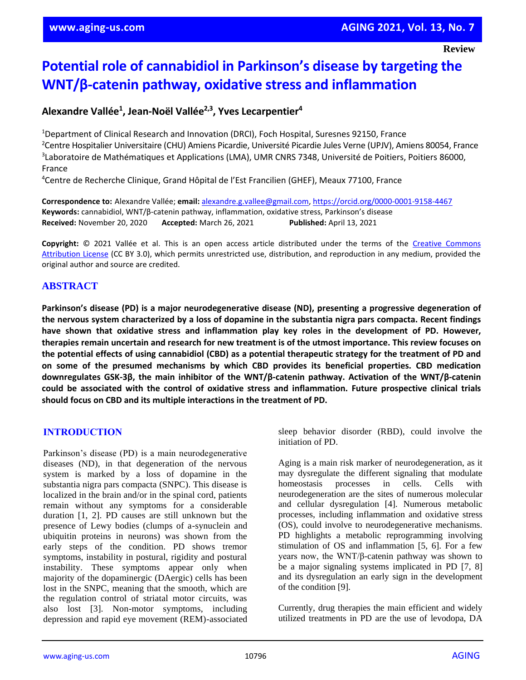**Review**

# **Potential role of cannabidiol in Parkinson's disease by targeting the WNT/β-catenin pathway, oxidative stress and inflammation**

# **Alexandre Vallée<sup>1</sup> , Jean-Noël Vallée2,3, Yves Lecarpentier<sup>4</sup>**

Department of Clinical Research and Innovation (DRCI), Foch Hospital, Suresnes 92150, France Centre Hospitalier Universitaire (CHU) Amiens Picardie, Université Picardie Jules Verne (UPJV), Amiens 80054, France Laboratoire de Mathématiques et Applications (LMA), UMR CNRS 7348, Université de Poitiers, Poitiers 86000, France

<sup>4</sup>Centre de Recherche Clinique, Grand Hôpital de l'Est Francilien (GHEF), Meaux 77100, France

**Correspondence to:** Alexandre Vallée; **email:** [alexandre.g.vallee@gmail.com,](mailto:alexandre.g.vallee@gmail.com) https://orcid.org/0000[-0001-](https://orcid.org/0000-0001-9158-4467)9158-4467 **Keywords:** cannabidiol, WNT/β-catenin pathway, inflammation, oxidative stress, Parkinson's disease **Received:** November 20, 2020 **Accepted:** March 26, 2021 **Published:** April 13, 2021

Copyright:  $© 2021$  Vallée et al. This is an open access article distributed under the terms of the Creative Commons [Attribution License](https://creativecommons.org/licenses/by/3.0/) (CC BY 3.0), which permits unrestricted use, distribution, and reproduction in any medium, provided the original author and source are credited.

# **ABSTRACT**

**Parkinson's disease (PD) is a major neurodegenerative disease (ND), presenting a progressive degeneration of** the nervous system characterized by a loss of dopamine in the substantia nigra pars compacta. Recent findings **have shown that oxidative stress and inflammation play key roles in the development of PD. However,** therapies remain uncertain and research for new treatment is of the utmost importance. This review focuses on the potential effects of using cannabidiol (CBD) as a potential therapeutic strategy for the treatment of PD and **on some of the presumed mechanisms by which CBD provides its beneficial properties. CBD medication downregulates GSK-3β, the main inhibitor of the WNT/β-catenin pathway. Activation of the WNT/β-catenin could be associated with the control of oxidative stress and inflammation. Future prospective clinical trials should focus on CBD and its multiple interactions in the treatment of PD.**

# **INTRODUCTION**

Parkinson's disease (PD) is a main neurodegenerative diseases (ND), in that degeneration of the nervous system is marked by a loss of dopamine in the substantia nigra pars compacta (SNPC). This disease is localized in the brain and/or in the spinal cord, patients remain without any symptoms for a considerable duration [1, 2]. PD causes are still unknown but the presence of Lewy bodies (clumps of a-synuclein and ubiquitin proteins in neurons) was shown from the early steps of the condition. PD shows tremor symptoms, instability in postural, rigidity and postural instability. These symptoms appear only when majority of the dopaminergic (DAergic) cells has been lost in the SNPC, meaning that the smooth, which are the regulation control of striatal motor circuits, was also lost [3]. Non-motor symptoms, including depression and rapid eye movement (REM)-associated sleep behavior disorder (RBD), could involve the initiation of PD.

Aging is a main risk marker of neurodegeneration, as it may dysregulate the different signaling that modulate homeostasis processes in cells. Cells with neurodegeneration are the sites of numerous molecular and cellular dysregulation [4]. Numerous metabolic processes, including inflammation and oxidative stress (OS), could involve to neurodegenerative mechanisms. PD highlights a metabolic reprogramming involving stimulation of OS and inflammation [5, 6]. For a few years now, the WNT/β-catenin pathway was shown to be a major signaling systems implicated in PD [7, 8] and its dysregulation an early sign in the development of the condition [9].

Currently, drug therapies the main efficient and widely utilized treatments in PD are the use of levodopa, DA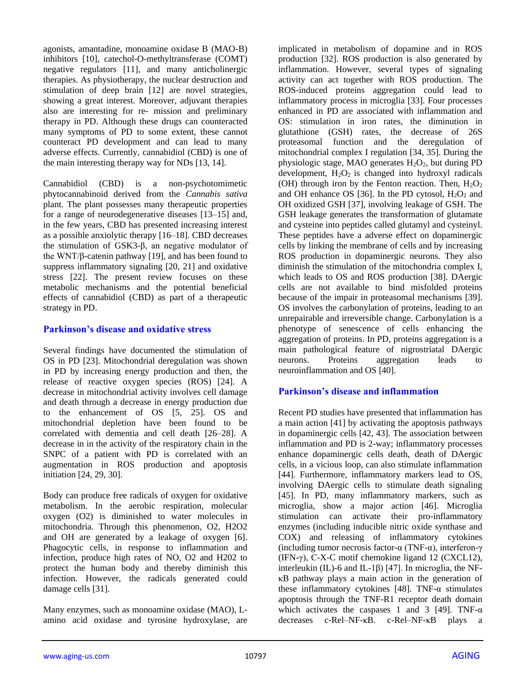agonists, amantadine, monoamine oxidase B (MAO-B) inhibitors [10], catechol-O-methyltransferase (COMT) negative regulators [11], and many anticholinergic therapies. As physiotherapy, the nuclear destruction and stimulation of deep brain [12] are novel strategies, showing a great interest. Moreover, adjuvant therapies also are interesting for re- mission and preliminary therapy in PD. Although these drugs can counteracted many symptoms of PD to some extent, these cannot counteract PD development and can lead to many adverse effects. Currently, cannabidiol (CBD) is one of the main interesting therapy way for NDs [13, 14].

Cannabidiol (CBD) is a non-psychotomimetic phytocannabinoid derived from the *Cannabis sativa* plant. The plant possesses many therapeutic properties for a range of neurodegenerative diseases [13–15] and, in the few years, CBD has presented increasing interest as a possible anxiolytic therapy [16–18]*.* CBD decreases the stimulation of GSK3-β, an negative modulator of the WNT/β-catenin pathway [19], and has been found to suppress inflammatory signaling [20, 21] and oxidative stress [22]. The present review focuses on these metabolic mechanisms and the potential beneficial effects of cannabidiol (CBD) as part of a therapeutic strategy in PD.

#### **Parkinson's disease and oxidative stress**

Several findings have documented the stimulation of OS in PD [23]. Mitochondrial deregulation was shown in PD by increasing energy production and then, the release of reactive oxygen species (ROS) [24]. A decrease in mitochondrial activity involves cell damage and death through a decrease in energy production due to the enhancement of OS [5, 25]. OS and mitochondrial depletion have been found to be correlated with dementia and cell death [26–28]. A decrease in in the activity of the respiratory chain in the SNPC of a patient with PD is correlated with an augmentation in ROS production and apoptosis initiation [24, 29, 30].

Body can produce free radicals of oxygen for oxidative metabolism. In the aerobic respiration, molecular oxygen (O2) is diminished to water molecules in mitochondria. Through this phenomenon, O2, H2O2 and OH are generated by a leakage of oxygen [6]. Phagocytic cells, in response to inflammation and infection, produce high rates of NO, O2 and H202 to protect the human body and thereby diminish this infection. However, the radicals generated could damage cells [31].

Many enzymes, such as monoamine oxidase (MAO), Lamino acid oxidase and tyrosine hydroxylase, are implicated in metabolism of dopamine and in ROS production [32]. ROS production is also generated by inflammation. However, several types of signaling activity can act together with ROS production. The ROS-induced proteins aggregation could lead to inflammatory process in microglia [33]. Four processes enhanced in PD are associated with inflammation and OS: stimulation in iron rates, the diminution in glutathione (GSH) rates, the decrease of 26S proteasomal function and the deregulation of mitochondrial complex I regulation [34, 35]. During the physiologic stage, MAO generates  $H_2O_2$ , but during PD development,  $H_2O_2$  is changed into hydroxyl radicals (OH) through iron by the Fenton reaction. Then,  $H_2O_2$ and OH enhance OS [36]. In the PD cytosol,  $H_2O_2$  and OH oxidized GSH [37], involving leakage of GSH. The GSH leakage generates the transformation of glutamate and cysteine into peptides called glutamyl and cysteinyl. These peptides have a adverse effect on dopaminergic cells by linking the membrane of cells and by increasing ROS production in dopaminergic neurons. They also diminish the stimulation of the mitochondria complex I, which leads to OS and ROS production [38]. DAergic cells are not available to bind misfolded proteins because of the impair in proteasomal mechanisms [39]. OS involves the carbonylation of proteins, leading to an unrepairable and irreversible change. Carbonylation is a phenotype of senescence of cells enhancing the aggregation of proteins. In PD, proteins aggregation is a main pathological feature of nigrostriatal DAergic neurons. Proteins aggregation leads to neuroinflammation and OS [40].

# **Parkinson's disease and inflammation**

Recent PD studies have presented that inflammation has a main action [41] by activating the apoptosis pathways in dopaminergic cells [42, 43]. The association between inflammation and PD is 2-way; inflammatory processes enhance dopaminergic cells death, death of DAergic cells, in a vicious loop, can also stimulate inflammation [44]. Furthermore, inflammatory markers lead to OS, involving DAergic cells to stimulate death signaling [45]. In PD, many inflammatory markers, such as microglia, show a major action [46]. Microglia stimulation can activate their pro-inflammatory enzymes (including inducible nitric oxide synthase and COX) and releasing of inflammatory cytokines (including tumor necrosis factor-α (TNF-α), interferon-γ (IFN- $\gamma$ ), C-X-C motif chemokine ligand 12 (CXCL12), interleukin (IL)-6 and IL-1 $\beta$ ) [47]. In microglia, the NFκB pathway plays a main action in the generation of these inflammatory cytokines [48]. TNF- $\alpha$  stimulates apoptosis through the TNF-R1 receptor death domain which activates the caspases 1 and 3 [49]. TNF- $\alpha$ decreases c-Rel–NF-κB. c-Rel–NF-κB plays a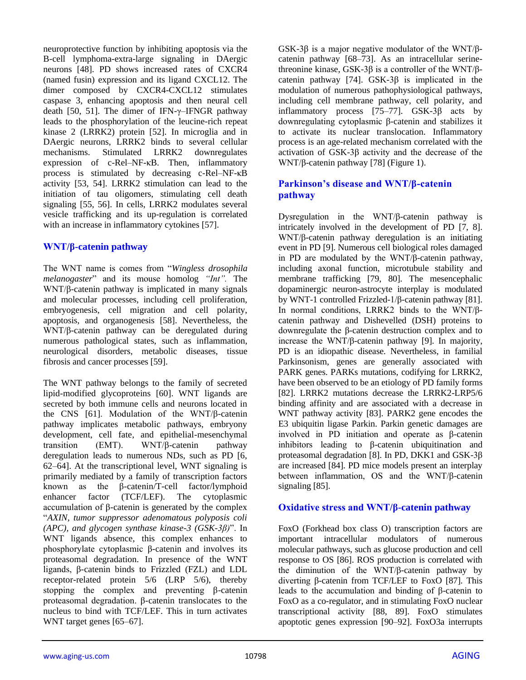neuroprotective function by inhibiting apoptosis via the B-cell lymphoma-extra-large signaling in DAergic neurons [48]. PD shows increased rates of CXCR4 (named fusin) expression and its ligand CXCL12. The dimer composed by CXCR4-CXCL12 stimulates caspase 3, enhancing apoptosis and then neural cell death [50, 51]. The dimer of IFN-γ–IFNGR pathway leads to the phosphorylation of the leucine-rich repeat kinase 2 (LRRK2) protein [52]. In microglia and in DAergic neurons, LRRK2 binds to several cellular mechanisms. Stimulated LRRK2 downregulates expression of c-Rel–NF-κB. Then, inflammatory process is stimulated by decreasing c-Rel–NF-κB activity [53, 54]. LRRK2 stimulation can lead to the initiation of tau oligomers, stimulating cell death signaling [55, 56]. In cells, LRRK2 modulates several vesicle trafficking and its up-regulation is correlated with an increase in inflammatory cytokines [57].

# **WNT/β-catenin pathway**

The WNT name is comes from "*Wingless drosophila melanogaster*" and its mouse homolog *"Int".* The WNT/β-catenin pathway is implicated in many signals and molecular processes, including cell proliferation, embryogenesis, cell migration and cell polarity, apoptosis, and organogenesis [58]. Nevertheless, the WNT/β-catenin pathway can be deregulated during numerous pathological states, such as inflammation, neurological disorders, metabolic diseases, tissue fibrosis and cancer processes [59].

The WNT pathway belongs to the family of secreted lipid-modified glycoproteins [60]. WNT ligands are secreted by both immune cells and neurons located in the CNS [61]. Modulation of the WNT/β-catenin pathway implicates metabolic pathways, embryony development, cell fate, and epithelial-mesenchymal transition (EMT). WNT/β-catenin pathway deregulation leads to numerous NDs, such as PD [6, 62–64]. At the transcriptional level, WNT signaling is primarily mediated by a family of transcription factors known as the β-catenin/T-cell factor/lymphoid<br>enhancer factor (TCF/LEF). The cytoplasmic enhancer factor (TCF/LEF). The cytoplasmic accumulation of β-catenin is generated by the complex "*AXIN, tumor suppressor adenomatous polyposis coli (APC), and glycogen synthase kinase-3 (GSK-3β)*". In WNT ligands absence, this complex enhances to phosphorylate cytoplasmic β-catenin and involves its proteasomal degradation. In presence of the WNT ligands, β-catenin binds to Frizzled (FZL) and LDL receptor-related protein 5/6 (LRP 5/6), thereby stopping the complex and preventing β-catenin proteasomal degradation. β-catenin translocates to the nucleus to bind with TCF/LEF. This in turn activates WNT target genes [65–67].

GSK-3β is a major negative modulator of the WNT/βcatenin pathway [68–73]. As an intracellular serinethreonine kinase, GSK-3β is a controller of the WNT/βcatenin pathway [74]. GSK-3β is implicated in the modulation of numerous pathophysiological pathways, including cell membrane pathway, cell polarity, and inflammatory process [75–77]. GSK-3β acts by downregulating cytoplasmic β-catenin and stabilizes it to activate its nuclear translocation. Inflammatory process is an age-related mechanism correlated with the activation of GSK-3β activity and the decrease of the WNT/β-catenin pathway [78] (Figure 1).

# **Parkinson's disease and WNT/β-catenin pathway**

Dysregulation in the WNT/β-catenin pathway is intricately involved in the development of PD [7, 8]. WNT/β-catenin pathway deregulation is an initiating event in PD [9]. Numerous cell biological roles damaged in PD are modulated by the WNT/β-catenin pathway, including axonal function, microtubule stability and membrane trafficking [79, 80]. The mesencephalic dopaminergic neuron-astrocyte interplay is modulated by WNT-1 controlled Frizzled-1/β-catenin pathway [81]. In normal conditions, LRRK2 binds to the WNT/βcatenin pathway and Dishevelled (DSH) proteins to downregulate the β-catenin destruction complex and to increase the WNT/β-catenin pathway [9]. In majority, PD is an idiopathic disease. Nevertheless, in familial Parkinsonism, genes are generally associated with PARK genes. PARKs mutations, codifying for LRRK2, have been observed to be an etiology of PD family forms [82]. LRRK2 mutations decrease the LRRK2-LRP5/6 binding affinity and are associated with a decrease in WNT pathway activity [83]. PARK2 gene encodes the E3 ubiquitin ligase Parkin. Parkin genetic damages are involved in PD initiation and operate as β-catenin inhibitors leading to β-catenin ubiquitination and proteasomal degradation [8]. In PD, DKK1 and GSK-3β are increased [84]. PD mice models present an interplay between inflammation, OS and the WNT/β-catenin signaling [85].

# **Oxidative stress and WNT/β-catenin pathway**

FoxO (Forkhead box class O) transcription factors are important intracellular modulators of numerous molecular pathways, such as glucose production and cell response to OS [86]. ROS production is correlated with the diminution of the WNT/β-catenin pathway by diverting β-catenin from TCF/LEF to FoxO [87]. This leads to the accumulation and binding of β-catenin to FoxO as a co-regulator, and in stimulating FoxO nuclear transcriptional activity [88, 89]. FoxO stimulates apoptotic genes expression [90–92]. FoxO3a interrupts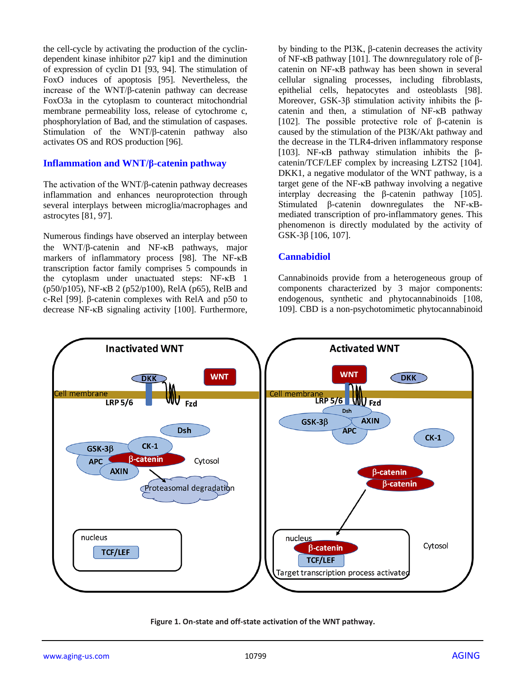the cell-cycle by activating the production of the cyclindependent kinase inhibitor p27 kip1 and the diminution of expression of cyclin D1 [93, 94]. The stimulation of FoxO induces of apoptosis [95]. Nevertheless, the increase of the WNT/β-catenin pathway can decrease FoxO3a in the cytoplasm to counteract mitochondrial membrane permeability loss, release of cytochrome c, phosphorylation of Bad, and the stimulation of caspases. Stimulation of the WNT/β-catenin pathway also activates OS and ROS production [96].

#### **Inflammation and WNT/β-catenin pathway**

The activation of the WNT/β-catenin pathway decreases inflammation and enhances neuroprotection through several interplays between microglia/macrophages and astrocytes [81, 97].

Numerous findings have observed an interplay between the WNT/ $\beta$ -catenin and NF- $\kappa$ B pathways, major markers of inflammatory process [98]. The NF-κB transcription factor family comprises 5 compounds in the cytoplasm under unactuated steps: NF-κB 1 (p50/p105), NF-κB 2 (p52/p100), RelA (p65), RelB and c-Rel [99]. β-catenin complexes with RelA and p50 to decrease NF-κB signaling activity [100]. Furthermore,

by binding to the PI3K, β-catenin decreases the activity of NF-κB pathway [101]. The downregulatory role of βcatenin on NF-κB pathway has been shown in several cellular signaling processes, including fibroblasts, epithelial cells, hepatocytes and osteoblasts [98]. Moreover, GSK-3β stimulation activity inhibits the βcatenin and then, a stimulation of NF-κB pathway [102]. The possible protective role of  $\beta$ -catenin is caused by the stimulation of the PI3K/Akt pathway and the decrease in the TLR4-driven inflammatory response [103]. NF-κB pathway stimulation inhibits the βcatenin/TCF/LEF complex by increasing LZTS2 [104]. DKK1, a negative modulator of the WNT pathway, is a target gene of the NF-κB pathway involving a negative interplay decreasing the β-catenin pathway [105]. Stimulated β-catenin downregulates the NF-κBmediated transcription of pro-inflammatory genes. This phenomenon is directly modulated by the activity of GSK-3β [106, 107].

#### **Cannabidiol**

Cannabinoids provide from a heterogeneous group of components characterized by 3 major components: endogenous, synthetic and phytocannabinoids [108, 109]. CBD is a non-psychotomimetic phytocannabinoid



**Figure 1. On-state and off-state activation of the WNT pathway.**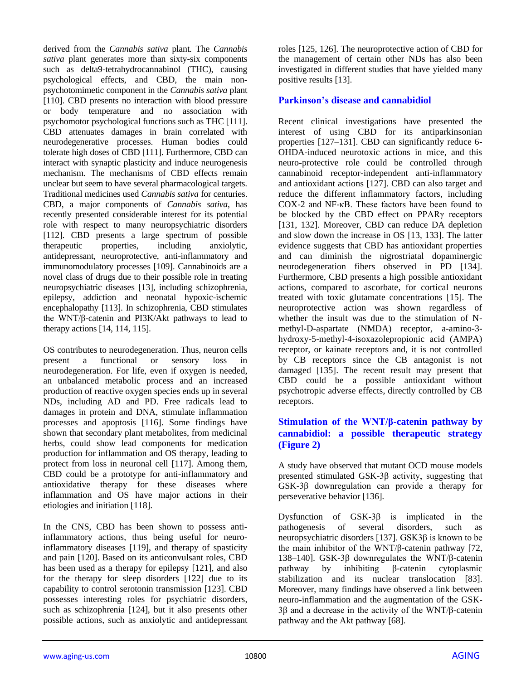derived from the *Cannabis sativa* plant*.* The *Cannabis sativa* plant generates more than sixty-six components such as delta9-tetrahydrocannabinol (THC), causing psychological effects, and CBD, the main nonpsychotomimetic component in the *Cannabis sativa* plant [110]. CBD presents no interaction with blood pressure or body temperature and no association with psychomotor psychological functions such as THC [111]. CBD attenuates damages in brain correlated with neurodegenerative processes. Human bodies could tolerate high doses of CBD [111]. Furthermore, CBD can interact with synaptic plasticity and induce neurogenesis mechanism. The mechanisms of CBD effects remain unclear but seem to have several pharmacological targets. Traditional medicines used *Cannabis sativa* for centuries. CBD, a major components of *Cannabis sativa*, has recently presented considerable interest for its potential role with respect to many neuropsychiatric disorders [112]. CBD presents a large spectrum of possible therapeutic properties, including anxiolytic, antidepressant, neuroprotective, anti-inflammatory and immunomodulatory processes [109]. Cannabinoids are a novel class of drugs due to their possible role in treating neuropsychiatric diseases [13], including schizophrenia, epilepsy, addiction and neonatal hypoxic-ischemic encephalopathy [113]. In schizophrenia, CBD stimulates the WNT/β-catenin and PI3K/Akt pathways to lead to therapy actions [14, 114, 115].

OS contributes to neurodegeneration. Thus, neuron cells present a functional or sensory loss in neurodegeneration. For life, even if oxygen is needed, an unbalanced metabolic process and an increased production of reactive oxygen species ends up in several NDs, including AD and PD. Free radicals lead to damages in protein and DNA, stimulate inflammation processes and apoptosis [116]. Some findings have shown that secondary plant metabolites, from medicinal herbs, could show lead components for medication production for inflammation and OS therapy, leading to protect from loss in neuronal cell [117]. Among them, CBD could be a prototype for anti-inflammatory and antioxidative therapy for these diseases where inflammation and OS have major actions in their etiologies and initiation [118].

In the CNS, CBD has been shown to possess antiinflammatory actions, thus being useful for neuroinflammatory diseases [119], and therapy of spasticity and pain [120]. Based on its anticonvulsant roles, CBD has been used as a therapy for epilepsy [121], and also for the therapy for sleep disorders [122] due to its capability to control serotonin transmission [123]. CBD possesses interesting roles for psychiatric disorders, such as schizophrenia [124], but it also presents other possible actions, such as anxiolytic and antidepressant

roles [125, 126]. The neuroprotective action of CBD for the management of certain other NDs has also been investigated in different studies that have yielded many positive results [13].

#### **Parkinson's disease and cannabidiol**

Recent clinical investigations have presented the interest of using CBD for its antiparkinsonian properties [127–131]. CBD can significantly reduce 6- OHDA-induced neurotoxic actions in mice, and this neuro-protective role could be controlled through cannabinoid receptor-independent anti-inflammatory and antioxidant actions [127]. CBD can also target and reduce the different inflammatory factors, including COX-2 and NF-κB. These factors have been found to be blocked by the CBD effect on PPARγ receptors [131, 132]. Moreover, CBD can reduce DA depletion and slow down the increase in OS [13, 133]. The latter evidence suggests that CBD has antioxidant properties and can diminish the nigrostriatal dopaminergic neurodegeneration fibers observed in PD [134]. Furthermore, CBD presents a high possible antioxidant actions, compared to ascorbate, for cortical neurons treated with toxic glutamate concentrations [15]. The neuroprotective action was shown regardless of whether the insult was due to the stimulation of Nmethyl-D-aspartate (NMDA) receptor, a-amino-3 hydroxy-5-methyl-4-isoxazolepropionic acid (AMPA) receptor, or kainate receptors and, it is not controlled by CB receptors since the CB antagonist is not damaged [135]. The recent result may present that CBD could be a possible antioxidant without psychotropic adverse effects, directly controlled by CB receptors.

# **Stimulation of the WNT/β-catenin pathway by cannabidiol: a possible therapeutic strategy (Figure 2)**

A study have observed that mutant OCD mouse models presented stimulated GSK-3β activity, suggesting that GSK-3β downregulation can provide a therapy for perseverative behavior [136].

Dysfunction of GSK-3β is implicated in the pathogenesis of several disorders, such as neuropsychiatric disorders [137]. GSK3β is known to be the main inhibitor of the WNT/β-catenin pathway [72, 138–140]. GSK-3β downregulates the WNT/β-catenin pathway by inhibiting β-catenin cytoplasmic stabilization and its nuclear translocation [83]. Moreover, many findings have observed a link between neuro-inflammation and the augmentation of the GSK-3β and a decrease in the activity of the WNT/β-catenin pathway and the Akt pathway [68].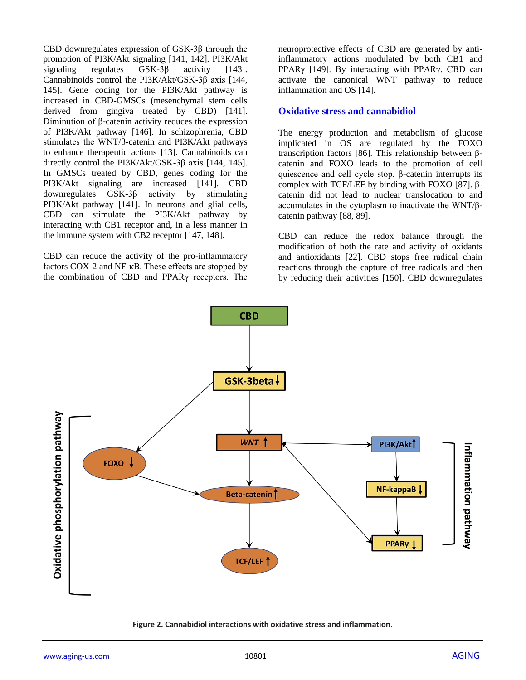CBD downregulates expression of GSK-3β through the promotion of PI3K/Akt signaling [141, 142]. PI3K/Akt signaling regulates  $GSK-3\beta$  activity [143]. Cannabinoids control the PI3K/Akt/GSK-3β axis [144, 145]. Gene coding for the PI3K/Akt pathway is increased in CBD-GMSCs (mesenchymal stem cells derived from gingiva treated by CBD) [141]. Diminution of β-catenin activity reduces the expression of PI3K/Akt pathway [146]. In schizophrenia, CBD stimulates the WNT/β-catenin and PI3K/Akt pathways to enhance therapeutic actions [13]. Cannabinoids can directly control the PI3K/Akt/GSK-3β axis [144, 145]. In GMSCs treated by CBD, genes coding for the PI3K/Akt signaling are increased [141]. CBD downregulates GSK-3β activity by stimulating PI3K/Akt pathway [141]. In neurons and glial cells, CBD can stimulate the PI3K/Akt pathway by interacting with CB1 receptor and, in a less manner in the immune system with CB2 receptor [147, 148].

CBD can reduce the activity of the pro-inflammatory factors COX-2 and NF-κB. These effects are stopped by the combination of CBD and PPARγ receptors. The

neuroprotective effects of CBD are generated by antiinflammatory actions modulated by both CB1 and PPARγ [149]. By interacting with PPARγ, CBD can activate the canonical WNT pathway to reduce inflammation and OS [14].

#### **Oxidative stress and cannabidiol**

The energy production and metabolism of glucose implicated in OS are regulated by the FOXO transcription factors [86]. This relationship between βcatenin and FOXO leads to the promotion of cell quiescence and cell cycle stop. β-catenin interrupts its complex with TCF/LEF by binding with FOXO [87]. βcatenin did not lead to nuclear translocation to and accumulates in the cytoplasm to inactivate the WNT/βcatenin pathway [88, 89].

CBD can reduce the redox balance through the modification of both the rate and activity of oxidants and antioxidants [22]. CBD stops free radical chain reactions through the capture of free radicals and then by reducing their activities [150]. CBD downregulates



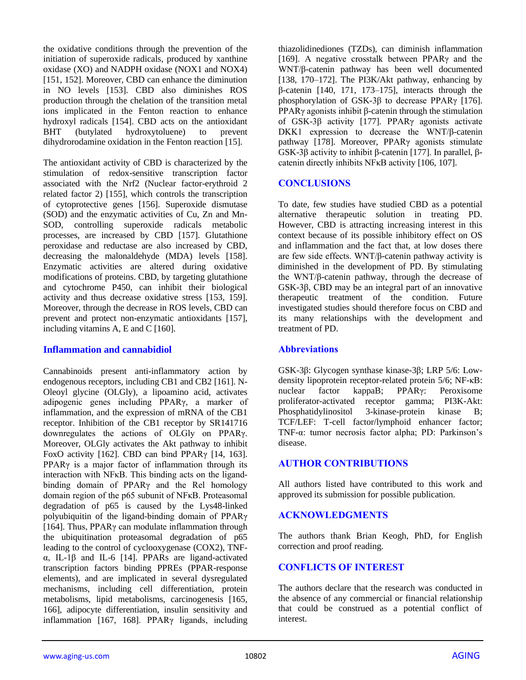the oxidative conditions through the prevention of the initiation of superoxide radicals, produced by xanthine oxidase (XO) and NADPH oxidase (NOX1 and NOX4) [151, 152]. Moreover, CBD can enhance the diminution in NO levels [153]. CBD also diminishes ROS production through the chelation of the transition metal ions implicated in the Fenton reaction to enhance hydroxyl radicals [154]. CBD acts on the antioxidant BHT (butylated hydroxytoluene) to prevent dihydrorodamine oxidation in the Fenton reaction [15].

The antioxidant activity of CBD is characterized by the stimulation of redox-sensitive transcription factor associated with the Nrf2 (Nuclear factor-erythroid 2 related factor 2) [155], which controls the transcription of cytoprotective genes [156]. Superoxide dismutase (SOD) and the enzymatic activities of Cu, Zn and Mn-SOD, controlling superoxide radicals metabolic processes, are increased by CBD [157]. Glutathione peroxidase and reductase are also increased by CBD, decreasing the malonaldehyde (MDA) levels [158]. Enzymatic activities are altered during oxidative modifications of proteins. CBD, by targeting glutathione and cytochrome P450, can inhibit their biological activity and thus decrease oxidative stress [153, 159]. Moreover, through the decrease in ROS levels, CBD can prevent and protect non-enzymatic antioxidants [157], including vitamins A, E and C [160].

#### **Inflammation and cannabidiol**

Cannabinoids present anti-inflammatory action by endogenous receptors, including CB1 and CB2 [161]. N-Oleoyl glycine (OLGly), a lipoamino acid, activates adipogenic genes including PPARγ, a marker of inflammation, and the expression of mRNA of the CB1 receptor. Inhibition of the CB1 receptor by SR141716 downregulates the actions of OLGly on PPARγ. Moreover, OLGly activates the Akt pathway to inhibit FoxO activity [162]. CBD can bind PPARγ [14, 163]. PPARγ is a major factor of inflammation through its interaction with NFκB. This binding acts on the ligandbinding domain of PPARγ and the Rel homology domain region of the p65 subunit of NFκB. Proteasomal degradation of p65 is caused by the Lys48-linked polyubiquitin of the ligand-binding domain of PPARγ [164]. Thus, PPARγ can modulate inflammation through the ubiquitination proteasomal degradation of p65 leading to the control of cyclooxygenase (COX2), TNFα, IL-1β and IL-6 [14]. PPARs are ligand-activated transcription factors binding PPREs (PPAR-response elements), and are implicated in several dysregulated mechanisms, including cell differentiation, protein metabolisms, lipid metabolisms, carcinogenesis [165, 166], adipocyte differentiation, insulin sensitivity and inflammation [167, 168]. PPARγ ligands, including

thiazolidinediones (TZDs), can diminish inflammation [169]. A negative crosstalk between PPARγ and the WNT/β-catenin pathway has been well documented [138, 170–172]. The PI3K/Akt pathway, enhancing by β-catenin [140, 171, 173–175], interacts through the phosphorylation of GSK-3β to decrease PPARγ [176]. PPARγ agonists inhibit β-catenin through the stimulation of GSK-3β activity [177]. PPARγ agonists activate DKK1 expression to decrease the WNT/β-catenin pathway [178]. Moreover, PPARγ agonists stimulate GSK-3β activity to inhibit β-catenin [177]. In parallel, βcatenin directly inhibits NFκB activity [106, 107].

# **CONCLUSIONS**

To date, few studies have studied CBD as a potential alternative therapeutic solution in treating PD. However, CBD is attracting increasing interest in this context because of its possible inhibitory effect on OS and inflammation and the fact that, at low doses there are few side effects. WNT/β-catenin pathway activity is diminished in the development of PD. By stimulating the WNT/β-catenin pathway, through the decrease of GSK-3β, CBD may be an integral part of an innovative therapeutic treatment of the condition. Future investigated studies should therefore focus on CBD and its many relationships with the development and treatment of PD.

# **Abbreviations**

GSK-3β: Glycogen synthase kinase-3β; LRP 5/6: Lowdensity lipoprotein receptor-related protein 5/6; NF-κB: nuclear factor kappaB; PPARγ: Peroxisome proliferator-activated receptor gamma; PI3K-Akt: Phosphatidylinositol 3-kinase-protein kinase B; TCF/LEF: T-cell factor/lymphoid enhancer factor; TNF-α: tumor necrosis factor alpha; PD: Parkinson's disease.

# **AUTHOR CONTRIBUTIONS**

All authors listed have contributed to this work and approved its submission for possible publication.

# **ACKNOWLEDGMENTS**

The authors thank Brian Keogh, PhD, for English correction and proof reading.

# **CONFLICTS OF INTEREST**

The authors declare that the research was conducted in the absence of any commercial or financial relationship that could be construed as a potential conflict of interest.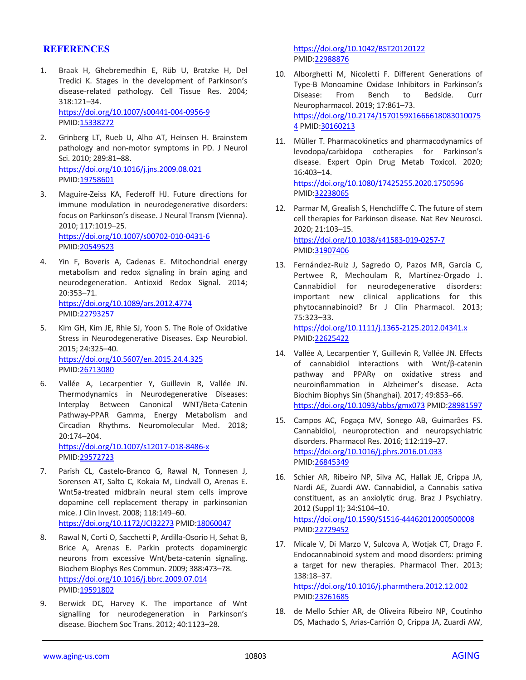#### **REFERENCES**

- 1. Braak H, Ghebremedhin E, Rüb U, Bratzke H, Del Tredici K. Stages in the development of Parkinson's disease-related pathology. Cell Tissue Res. 2004; 318:121–34. <https://doi.org/10.1007/s00441-004-0956-9> PMID[:15338272](https://pubmed.ncbi.nlm.nih.gov/15338272)
- 2. Grinberg LT, Rueb U, Alho AT, Heinsen H. Brainstem pathology and non-motor symptoms in PD. J Neurol Sci. 2010; 289:81–88. <https://doi.org/10.1016/j.jns.2009.08.021> PMID[:19758601](https://pubmed.ncbi.nlm.nih.gov/19758601)
- 3. Maguire-Zeiss KA, Federoff HJ. Future directions for immune modulation in neurodegenerative disorders: focus on Parkinson's disease. J Neural Transm (Vienna). 2010; 117:1019–25. <https://doi.org/10.1007/s00702-010-0431-6> PMID[:20549523](https://pubmed.ncbi.nlm.nih.gov/20549523)
- 4. Yin F, Boveris A, Cadenas E. Mitochondrial energy metabolism and redox signaling in brain aging and neurodegeneration. Antioxid Redox Signal. 2014; 20:353–71. <https://doi.org/10.1089/ars.2012.4774> PMID[:22793257](https://pubmed.ncbi.nlm.nih.gov/22793257)
- 5. Kim GH, Kim JE, Rhie SJ, Yoon S. The Role of Oxidative Stress in Neurodegenerative Diseases. Exp Neurobiol. 2015; 24:325–40. <https://doi.org/10.5607/en.2015.24.4.325> PMID[:26713080](https://pubmed.ncbi.nlm.nih.gov/26713080)
- 6. Vallée A, Lecarpentier Y, Guillevin R, Vallée JN. Thermodynamics in Neurodegenerative Diseases: Interplay Between Canonical WNT/Beta-Catenin Pathway-PPAR Gamma, Energy Metabolism and Circadian Rhythms. Neuromolecular Med. 2018; 20:174–204. <https://doi.org/10.1007/s12017-018-8486-x>

PMID[:29572723](https://pubmed.ncbi.nlm.nih.gov/29572723)

- 7. Parish CL, Castelo-Branco G, Rawal N, Tonnesen J, Sorensen AT, Salto C, Kokaia M, Lindvall O, Arenas E. Wnt5a-treated midbrain neural stem cells improve dopamine cell replacement therapy in parkinsonian mice. J Clin Invest. 2008; 118:149–60. <https://doi.org/10.1172/JCI32273> PMID[:18060047](https://pubmed.ncbi.nlm.nih.gov/18060047)
- 8. Rawal N, Corti O, Sacchetti P, Ardilla-Osorio H, Sehat B, Brice A, Arenas E. Parkin protects dopaminergic neurons from excessive Wnt/beta-catenin signaling. Biochem Biophys Res Commun. 2009; 388:473–78. <https://doi.org/10.1016/j.bbrc.2009.07.014> PMID[:19591802](https://pubmed.ncbi.nlm.nih.gov/19591802)
- 9. Berwick DC, Harvey K. The importance of Wnt signalling for neurodegeneration in Parkinson's disease. Biochem Soc Trans. 2012; 40:1123–28.

<https://doi.org/10.1042/BST20120122> PMI[D:22988876](https://pubmed.ncbi.nlm.nih.gov/22988876)

- 10. Alborghetti M, Nicoletti F. Different Generations of Type-B Monoamine Oxidase Inhibitors in Parkinson's Disease: From Bench to Bedside. Curr Neuropharmacol. 2019; 17:861–73. [https://doi.org/10.2174/1570159X1666618083010075](https://doi.org/10.2174/1570159X16666180830100754) [4](https://doi.org/10.2174/1570159X16666180830100754) PMI[D:30160213](https://pubmed.ncbi.nlm.nih.gov/30160213)
- 11. Müller T. Pharmacokinetics and pharmacodynamics of levodopa/carbidopa cotherapies for Parkinson's disease. Expert Opin Drug Metab Toxicol. 2020; 16:403–14. <https://doi.org/10.1080/17425255.2020.1750596> PMI[D:32238065](https://pubmed.ncbi.nlm.nih.gov/32238065)
- 12. Parmar M, Grealish S, Henchcliffe C. The future of stem cell therapies for Parkinson disease. Nat Rev Neurosci. 2020; 21:103–15. <https://doi.org/10.1038/s41583-019-0257-7> PMI[D:31907406](https://pubmed.ncbi.nlm.nih.gov/31907406)
- 13. Fernández-Ruiz J, Sagredo O, Pazos MR, García C, Pertwee R, Mechoulam R, Martínez-Orgado J. Cannabidiol for neurodegenerative disorders: important new clinical applications for this phytocannabinoid? Br J Clin Pharmacol. 2013; 75:323–33. <https://doi.org/10.1111/j.1365-2125.2012.04341.x> PMI[D:22625422](https://pubmed.ncbi.nlm.nih.gov/22625422)
- 14. Vallée A, Lecarpentier Y, Guillevin R, Vallée JN. Effects of cannabidiol interactions with Wnt/β-catenin pathway and PPARγ on oxidative stress and neuroinflammation in Alzheimer's disease. Acta Biochim Biophys Sin (Shanghai). 2017; 49:853–66. <https://doi.org/10.1093/abbs/gmx073> PMI[D:28981597](https://pubmed.ncbi.nlm.nih.gov/28981597)
- 15. Campos AC, Fogaça MV, Sonego AB, Guimarães FS. Cannabidiol, neuroprotection and neuropsychiatric disorders. Pharmacol Res. 2016; 112:119–27. <https://doi.org/10.1016/j.phrs.2016.01.033> PMI[D:26845349](https://pubmed.ncbi.nlm.nih.gov/26845349)
- 16. Schier AR, Ribeiro NP, Silva AC, Hallak JE, Crippa JA, Nardi AE, Zuardi AW. Cannabidiol, a Cannabis sativa constituent, as an anxiolytic drug. Braz J Psychiatry. 2012 (Suppl 1); 34:S104–10. <https://doi.org/10.1590/S1516-44462012000500008> PMI[D:22729452](https://pubmed.ncbi.nlm.nih.gov/22729452)
- 17. Micale V, Di Marzo V, Sulcova A, Wotjak CT, Drago F. Endocannabinoid system and mood disorders: priming a target for new therapies. Pharmacol Ther. 2013; 138:18–37.

<https://doi.org/10.1016/j.pharmthera.2012.12.002> PMI[D:23261685](https://pubmed.ncbi.nlm.nih.gov/23261685)

18. de Mello Schier AR, de Oliveira Ribeiro NP, Coutinho DS, Machado S, Arias-Carrión O, Crippa JA, Zuardi AW,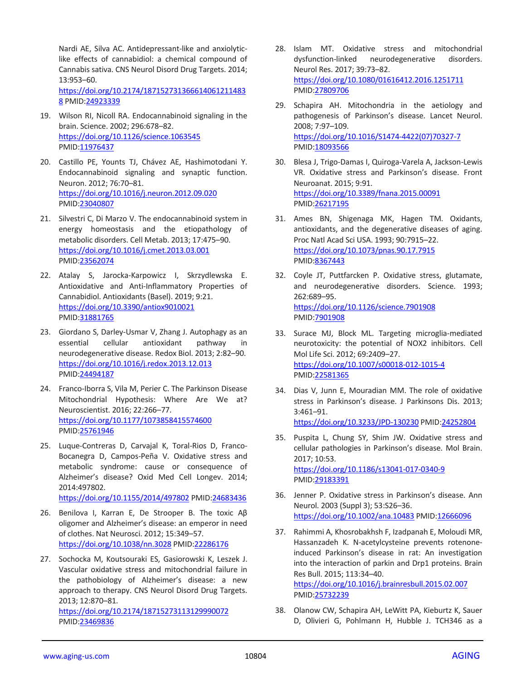Nardi AE, Silva AC. Antidepressant-like and anxiolyticlike effects of cannabidiol: a chemical compound of Cannabis sativa. CNS Neurol Disord Drug Targets. 2014; 13:953–60.

[https://doi.org/10.2174/187152731366614061211483](https://doi.org/10.2174/1871527313666140612114838) [8](https://doi.org/10.2174/1871527313666140612114838) PMID[:24923339](https://pubmed.ncbi.nlm.nih.gov/24923339)

- 19. Wilson RI, Nicoll RA. Endocannabinoid signaling in the brain. Science. 2002; 296:678–82. <https://doi.org/10.1126/science.1063545> PMID[:11976437](https://pubmed.ncbi.nlm.nih.gov/11976437)
- 20. Castillo PE, Younts TJ, Chávez AE, Hashimotodani Y. Endocannabinoid signaling and synaptic function. Neuron. 2012; 76:70–81. <https://doi.org/10.1016/j.neuron.2012.09.020> PMID[:23040807](https://pubmed.ncbi.nlm.nih.gov/23040807)
- 21. Silvestri C, Di Marzo V. The endocannabinoid system in energy homeostasis and the etiopathology of metabolic disorders. Cell Metab. 2013; 17:475–90. <https://doi.org/10.1016/j.cmet.2013.03.001> PMID[:23562074](https://pubmed.ncbi.nlm.nih.gov/23562074)
- 22. Atalay S, Jarocka-Karpowicz I, Skrzydlewska E. Antioxidative and Anti-Inflammatory Properties of Cannabidiol. Antioxidants (Basel). 2019; 9:21. <https://doi.org/10.3390/antiox9010021> PMID[:31881765](https://pubmed.ncbi.nlm.nih.gov/31881765)
- 23. Giordano S, Darley-Usmar V, Zhang J. Autophagy as an essential cellular antioxidant pathway in neurodegenerative disease. Redox Biol. 2013; 2:82–90. <https://doi.org/10.1016/j.redox.2013.12.013> PMID[:24494187](https://pubmed.ncbi.nlm.nih.gov/24494187)
- 24. Franco-Iborra S, Vila M, Perier C. The Parkinson Disease Mitochondrial Hypothesis: Where Are We at? Neuroscientist. 2016; 22:266–77. <https://doi.org/10.1177/1073858415574600> PMID[:25761946](https://pubmed.ncbi.nlm.nih.gov/25761946)
- 25. Luque-Contreras D, Carvajal K, Toral-Rios D, Franco-Bocanegra D, Campos-Peña V. Oxidative stress and metabolic syndrome: cause or consequence of Alzheimer's disease? Oxid Med Cell Longev. 2014; 2014:497802. <https://doi.org/10.1155/2014/497802> PMID[:24683436](https://pubmed.ncbi.nlm.nih.gov/24683436)
- 26. Benilova I, Karran E, De Strooper B. The toxic Aβ oligomer and Alzheimer's disease: an emperor in need of clothes. Nat Neurosci. 2012; 15:349–57. <https://doi.org/10.1038/nn.3028> PMID[:22286176](https://pubmed.ncbi.nlm.nih.gov/22286176)
- 27. Sochocka M, Koutsouraki ES, Gasiorowski K, Leszek J. Vascular oxidative stress and mitochondrial failure in the pathobiology of Alzheimer's disease: a new approach to therapy. CNS Neurol Disord Drug Targets. 2013; 12:870–81. <https://doi.org/10.2174/18715273113129990072> PMID[:23469836](https://pubmed.ncbi.nlm.nih.gov/23469836)
- 28. Islam MT. Oxidative stress and mitochondrial dysfunction-linked neurodegenerative disorders. Neurol Res. 2017; 39:73–82. <https://doi.org/10.1080/01616412.2016.1251711> PMI[D:27809706](https://pubmed.ncbi.nlm.nih.gov/27809706)
- 29. Schapira AH. Mitochondria in the aetiology and pathogenesis of Parkinson's disease. Lancet Neurol. 2008; 7:97–109. [https://doi.org/10.1016/S1474-4422\(07\)70327-7](https://doi.org/10.1016/S1474-4422(07)70327-7) PMI[D:18093566](https://pubmed.ncbi.nlm.nih.gov/18093566)
- 30. Blesa J, Trigo-Damas I, Quiroga-Varela A, Jackson-Lewis VR. Oxidative stress and Parkinson's disease. Front Neuroanat. 2015; 9:91. <https://doi.org/10.3389/fnana.2015.00091> PMI[D:26217195](https://pubmed.ncbi.nlm.nih.gov/26217195)
- 31. Ames BN, Shigenaga MK, Hagen TM. Oxidants, antioxidants, and the degenerative diseases of aging. Proc Natl Acad Sci USA. 1993; 90:7915–22. <https://doi.org/10.1073/pnas.90.17.7915> PMI[D:8367443](https://pubmed.ncbi.nlm.nih.gov/8367443)
- 32. Coyle JT, Puttfarcken P. Oxidative stress, glutamate, and neurodegenerative disorders. Science. 1993; 262:689–95. <https://doi.org/10.1126/science.7901908> PMI[D:7901908](https://pubmed.ncbi.nlm.nih.gov/7901908)
- 33. Surace MJ, Block ML. Targeting microglia-mediated neurotoxicity: the potential of NOX2 inhibitors. Cell Mol Life Sci. 2012; 69:2409–27. <https://doi.org/10.1007/s00018-012-1015-4> PMI[D:22581365](https://pubmed.ncbi.nlm.nih.gov/22581365)
- 34. Dias V, Junn E, Mouradian MM. The role of oxidative stress in Parkinson's disease. J Parkinsons Dis. 2013; 3:461–91. <https://doi.org/10.3233/JPD-130230> PMID[:24252804](https://pubmed.ncbi.nlm.nih.gov/24252804)
- 35. Puspita L, Chung SY, Shim JW. Oxidative stress and cellular pathologies in Parkinson's disease. Mol Brain. 2017; 10:53. <https://doi.org/10.1186/s13041-017-0340-9> PMI[D:29183391](https://pubmed.ncbi.nlm.nih.gov/29183391)
- 36. Jenner P. Oxidative stress in Parkinson's disease. Ann Neurol. 2003 (Suppl 3); 53:S26–36. <https://doi.org/10.1002/ana.10483> PMID[:12666096](https://pubmed.ncbi.nlm.nih.gov/12666096)
- 37. Rahimmi A, Khosrobakhsh F, Izadpanah E, Moloudi MR, Hassanzadeh K. N-acetylcysteine prevents rotenoneinduced Parkinson's disease in rat: An investigation into the interaction of parkin and Drp1 proteins. Brain Res Bull. 2015; 113:34–40.

<https://doi.org/10.1016/j.brainresbull.2015.02.007> PMI[D:25732239](https://pubmed.ncbi.nlm.nih.gov/25732239)

38. Olanow CW, Schapira AH, LeWitt PA, Kieburtz K, Sauer D, Olivieri G, Pohlmann H, Hubble J. TCH346 as a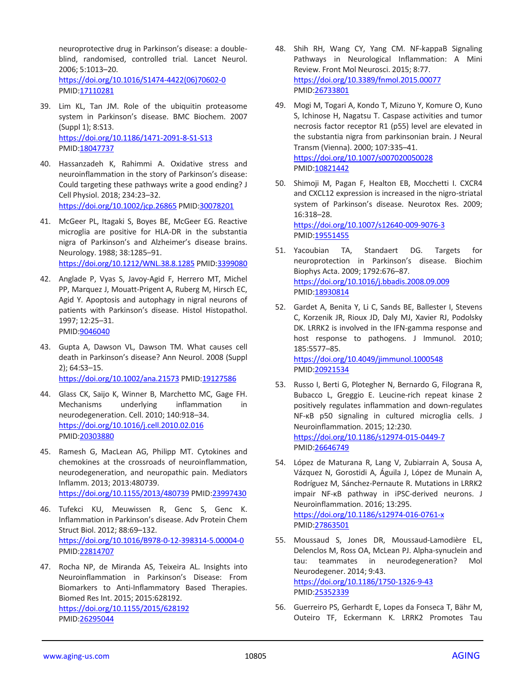neuroprotective drug in Parkinson's disease: a doubleblind, randomised, controlled trial. Lancet Neurol. 2006; 5:1013–20. [https://doi.org/10.1016/S1474-4422\(06\)70602-0](https://doi.org/10.1016/S1474-4422(06)70602-0) PMID[:17110281](https://pubmed.ncbi.nlm.nih.gov/17110281)

- 39. Lim KL, Tan JM. Role of the ubiquitin proteasome system in Parkinson's disease. BMC Biochem. 2007 (Suppl 1); 8:S13. <https://doi.org/10.1186/1471-2091-8-S1-S13> PMID[:18047737](https://pubmed.ncbi.nlm.nih.gov/18047737)
- 40. Hassanzadeh K, Rahimmi A. Oxidative stress and neuroinflammation in the story of Parkinson's disease: Could targeting these pathways write a good ending? J Cell Physiol. 2018; 234:23–32. <https://doi.org/10.1002/jcp.26865> PMID[:30078201](https://pubmed.ncbi.nlm.nih.gov/30078201)
- 41. McGeer PL, Itagaki S, Boyes BE, McGeer EG. Reactive microglia are positive for HLA-DR in the substantia nigra of Parkinson's and Alzheimer's disease brains. Neurology. 1988; 38:1285–91. <https://doi.org/10.1212/WNL.38.8.1285> PMID[:3399080](https://pubmed.ncbi.nlm.nih.gov/3399080)
- 42. Anglade P, Vyas S, Javoy-Agid F, Herrero MT, Michel PP, Marquez J, Mouatt-Prigent A, Ruberg M, Hirsch EC, Agid Y. Apoptosis and autophagy in nigral neurons of patients with Parkinson's disease. Histol Histopathol. 1997; 12:25–31. PMID[:9046040](https://pubmed.ncbi.nlm.nih.gov/9046040)
- 43. Gupta A, Dawson VL, Dawson TM. What causes cell death in Parkinson's disease? Ann Neurol. 2008 (Suppl 2); 64:S3–15. <https://doi.org/10.1002/ana.21573> PMID[:19127586](https://pubmed.ncbi.nlm.nih.gov/19127586)
- 44. Glass CK, Saijo K, Winner B, Marchetto MC, Gage FH. Mechanisms underlying inflammation in neurodegeneration. Cell. 2010; 140:918–34. <https://doi.org/10.1016/j.cell.2010.02.016> PMID[:20303880](https://pubmed.ncbi.nlm.nih.gov/20303880)
- 45. Ramesh G, MacLean AG, Philipp MT. Cytokines and chemokines at the crossroads of neuroinflammation, neurodegeneration, and neuropathic pain. Mediators Inflamm. 2013; 2013:480739. <https://doi.org/10.1155/2013/480739> PMID[:23997430](https://pubmed.ncbi.nlm.nih.gov/23997430)
- 46. Tufekci KU, Meuwissen R, Genc S, Genc K. Inflammation in Parkinson's disease. Adv Protein Chem Struct Biol. 2012; 88:69–132. <https://doi.org/10.1016/B978-0-12-398314-5.00004-0> PMID[:22814707](https://pubmed.ncbi.nlm.nih.gov/22814707)
- 47. Rocha NP, de Miranda AS, Teixeira AL. Insights into Neuroinflammation in Parkinson's Disease: From Biomarkers to Anti-Inflammatory Based Therapies. Biomed Res Int. 2015; 2015:628192. <https://doi.org/10.1155/2015/628192> PMID[:26295044](https://pubmed.ncbi.nlm.nih.gov/26295044)
- 48. Shih RH, Wang CY, Yang CM. NF-kappaB Signaling Pathways in Neurological Inflammation: A Mini Review. Front Mol Neurosci. 2015; 8:77. <https://doi.org/10.3389/fnmol.2015.00077> PMI[D:26733801](https://pubmed.ncbi.nlm.nih.gov/26733801)
- 49. Mogi M, Togari A, Kondo T, Mizuno Y, Komure O, Kuno S, Ichinose H, Nagatsu T. Caspase activities and tumor necrosis factor receptor R1 (p55) level are elevated in the substantia nigra from parkinsonian brain. J Neural Transm (Vienna). 2000; 107:335–41. <https://doi.org/10.1007/s007020050028> PMI[D:10821442](https://pubmed.ncbi.nlm.nih.gov/10821442)
- 50. Shimoji M, Pagan F, Healton EB, Mocchetti I. CXCR4 and CXCL12 expression is increased in the nigro-striatal system of Parkinson's disease. Neurotox Res. 2009; 16:318–28. <https://doi.org/10.1007/s12640-009-9076-3> PMI[D:19551455](https://pubmed.ncbi.nlm.nih.gov/19551455)
- 51. Yacoubian TA, Standaert DG. Targets for neuroprotection in Parkinson's disease. Biochim Biophys Acta. 2009; 1792:676–87. <https://doi.org/10.1016/j.bbadis.2008.09.009> PMI[D:18930814](https://pubmed.ncbi.nlm.nih.gov/18930814)
- 52. Gardet A, Benita Y, Li C, Sands BE, Ballester I, Stevens C, Korzenik JR, Rioux JD, Daly MJ, Xavier RJ, Podolsky DK. LRRK2 is involved in the IFN-gamma response and host response to pathogens. J Immunol. 2010; 185:5577–85. <https://doi.org/10.4049/jimmunol.1000548>

PMI[D:20921534](https://pubmed.ncbi.nlm.nih.gov/20921534)

- 53. Russo I, Berti G, Plotegher N, Bernardo G, Filograna R, Bubacco L, Greggio E. Leucine-rich repeat kinase 2 positively regulates inflammation and down-regulates NF-κB p50 signaling in cultured microglia cells. J Neuroinflammation. 2015; 12:230. <https://doi.org/10.1186/s12974-015-0449-7> PMI[D:26646749](https://pubmed.ncbi.nlm.nih.gov/26646749)
- 54. López de Maturana R, Lang V, Zubiarrain A, Sousa A, Vázquez N, Gorostidi A, Águila J, López de Munain A, Rodríguez M, Sánchez-Pernaute R. Mutations in LRRK2 impair NF-κB pathway in iPSC-derived neurons. J Neuroinflammation. 2016; 13:295. <https://doi.org/10.1186/s12974-016-0761-x>

PMI[D:27863501](https://pubmed.ncbi.nlm.nih.gov/27863501)

- 55. Moussaud S, Jones DR, Moussaud-Lamodière EL, Delenclos M, Ross OA, McLean PJ. Alpha-synuclein and tau: teammates in neurodegeneration? Mol Neurodegener. 2014; 9:43. <https://doi.org/10.1186/1750-1326-9-43> PMI[D:25352339](https://pubmed.ncbi.nlm.nih.gov/25352339)
- 56. Guerreiro PS, Gerhardt E, Lopes da Fonseca T, Bähr M, Outeiro TF, Eckermann K. LRRK2 Promotes Tau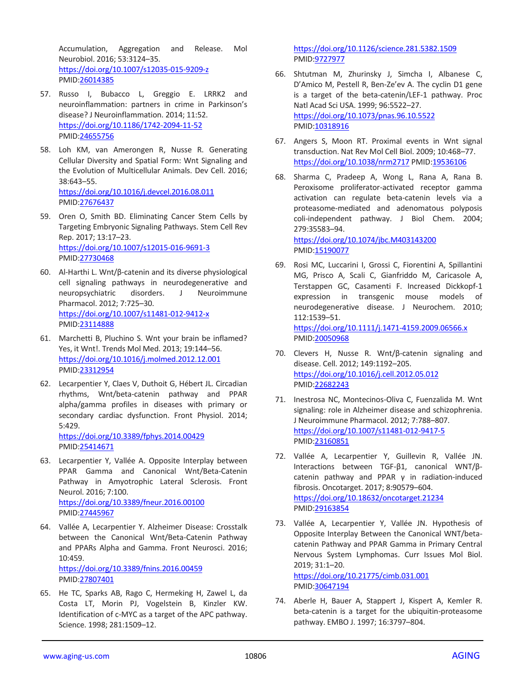Accumulation, Aggregation and Release. Mol Neurobiol. 2016; 53:3124–35. <https://doi.org/10.1007/s12035-015-9209-z> PMID[:26014385](https://pubmed.ncbi.nlm.nih.gov/26014385)

- 57. Russo I, Bubacco L, Greggio E. LRRK2 and neuroinflammation: partners in crime in Parkinson's disease? J Neuroinflammation. 2014; 11:52. <https://doi.org/10.1186/1742-2094-11-52> PMID[:24655756](https://pubmed.ncbi.nlm.nih.gov/24655756)
- 58. Loh KM, van Amerongen R, Nusse R. Generating Cellular Diversity and Spatial Form: Wnt Signaling and the Evolution of Multicellular Animals. Dev Cell. 2016; 38:643–55. <https://doi.org/10.1016/j.devcel.2016.08.011> PMID[:27676437](https://pubmed.ncbi.nlm.nih.gov/27676437)
- 59. Oren O, Smith BD. Eliminating Cancer Stem Cells by Targeting Embryonic Signaling Pathways. Stem Cell Rev Rep. 2017; 13:17–23. <https://doi.org/10.1007/s12015-016-9691-3> PMID[:27730468](https://pubmed.ncbi.nlm.nih.gov/27730468)
- 60. Al-Harthi L. Wnt/β-catenin and its diverse physiological cell signaling pathways in neurodegenerative and neuropsychiatric disorders. J Neuroimmune Pharmacol. 2012; 7:725–30. <https://doi.org/10.1007/s11481-012-9412-x> PMID[:23114888](https://pubmed.ncbi.nlm.nih.gov/23114888)
- 61. Marchetti B, Pluchino S. Wnt your brain be inflamed? Yes, it Wnt!. Trends Mol Med. 2013; 19:144–56. <https://doi.org/10.1016/j.molmed.2012.12.001> PMID[:23312954](https://pubmed.ncbi.nlm.nih.gov/23312954)
- 62. Lecarpentier Y, Claes V, Duthoit G, Hébert JL. Circadian rhythms, Wnt/beta-catenin pathway and PPAR alpha/gamma profiles in diseases with primary or secondary cardiac dysfunction. Front Physiol. 2014; 5:429. <https://doi.org/10.3389/fphys.2014.00429>

PMID[:25414671](https://pubmed.ncbi.nlm.nih.gov/25414671)

- 63. Lecarpentier Y, Vallée A. Opposite Interplay between PPAR Gamma and Canonical Wnt/Beta-Catenin Pathway in Amyotrophic Lateral Sclerosis. Front Neurol. 2016; 7:100. <https://doi.org/10.3389/fneur.2016.00100> PMID[:27445967](https://pubmed.ncbi.nlm.nih.gov/27445967)
- 64. Vallée A, Lecarpentier Y. Alzheimer Disease: Crosstalk between the Canonical Wnt/Beta-Catenin Pathway and PPARs Alpha and Gamma. Front Neurosci. 2016; 10:459.

<https://doi.org/10.3389/fnins.2016.00459> PMID[:27807401](https://pubmed.ncbi.nlm.nih.gov/27807401)

65. He TC, Sparks AB, Rago C, Hermeking H, Zawel L, da Costa LT, Morin PJ, Vogelstein B, Kinzler KW. Identification of c-MYC as a target of the APC pathway. Science. 1998; 281:1509–12.

<https://doi.org/10.1126/science.281.5382.1509> PMI[D:9727977](https://pubmed.ncbi.nlm.nih.gov/9727977)

- 66. Shtutman M, Zhurinsky J, Simcha I, Albanese C, D'Amico M, Pestell R, Ben-Ze'ev A. The cyclin D1 gene is a target of the beta-catenin/LEF-1 pathway. Proc Natl Acad Sci USA. 1999; 96:5522–27. <https://doi.org/10.1073/pnas.96.10.5522> PMI[D:10318916](https://pubmed.ncbi.nlm.nih.gov/10318916)
- 67. Angers S, Moon RT. Proximal events in Wnt signal transduction. Nat Rev Mol Cell Biol. 2009; 10:468–77. <https://doi.org/10.1038/nrm2717> PMI[D:19536106](https://pubmed.ncbi.nlm.nih.gov/19536106)
- 68. Sharma C, Pradeep A, Wong L, Rana A, Rana B. Peroxisome proliferator-activated receptor gamma activation can regulate beta-catenin levels via a proteasome-mediated and adenomatous polyposis coli-independent pathway. J Biol Chem. 2004; 279:35583–94.

<https://doi.org/10.1074/jbc.M403143200> PMI[D:15190077](https://pubmed.ncbi.nlm.nih.gov/15190077)

- 69. Rosi MC, Luccarini I, Grossi C, Fiorentini A, Spillantini MG, Prisco A, Scali C, Gianfriddo M, Caricasole A, Terstappen GC, Casamenti F. Increased Dickkopf-1 expression in transgenic mouse models of neurodegenerative disease. J Neurochem. 2010; 112:1539–51. <https://doi.org/10.1111/j.1471-4159.2009.06566.x> PMI[D:20050968](https://pubmed.ncbi.nlm.nih.gov/20050968)
- 70. Clevers H, Nusse R. Wnt/β-catenin signaling and disease. Cell. 2012; 149:1192–205. <https://doi.org/10.1016/j.cell.2012.05.012> PMI[D:22682243](https://pubmed.ncbi.nlm.nih.gov/22682243)
- 71. Inestrosa NC, Montecinos-Oliva C, Fuenzalida M. Wnt signaling: role in Alzheimer disease and schizophrenia. J Neuroimmune Pharmacol. 2012; 7:788–807. <https://doi.org/10.1007/s11481-012-9417-5> PMI[D:23160851](https://pubmed.ncbi.nlm.nih.gov/23160851)
- 72. Vallée A, Lecarpentier Y, Guillevin R, Vallée JN. Interactions between TGF-β1, canonical WNT/βcatenin pathway and PPAR γ in radiation-induced fibrosis. Oncotarget. 2017; 8:90579–604. <https://doi.org/10.18632/oncotarget.21234> PMI[D:29163854](https://pubmed.ncbi.nlm.nih.gov/29163854)
- 73. Vallée A, Lecarpentier Y, Vallée JN. Hypothesis of Opposite Interplay Between the Canonical WNT/betacatenin Pathway and PPAR Gamma in Primary Central Nervous System Lymphomas. Curr Issues Mol Biol. 2019; 31:1–20. <https://doi.org/10.21775/cimb.031.001> PMI[D:30647194](https://pubmed.ncbi.nlm.nih.gov/30647194)
- 74. Aberle H, Bauer A, Stappert J, Kispert A, Kemler R. beta-catenin is a target for the ubiquitin-proteasome pathway. EMBO J. 1997; 16:3797–804.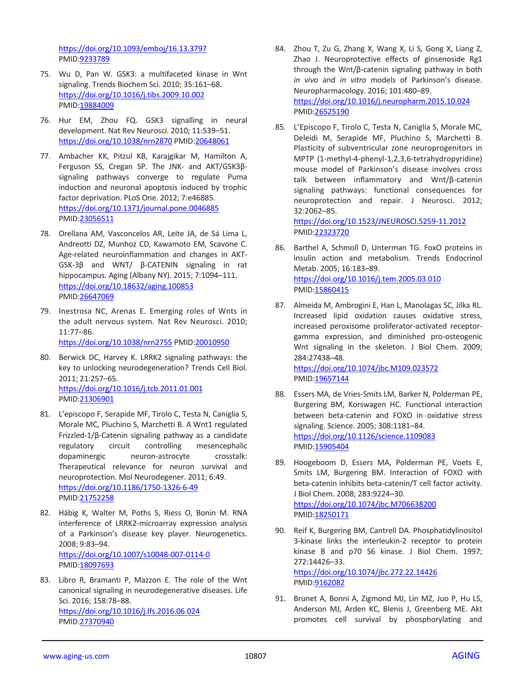<https://doi.org/10.1093/emboj/16.13.3797> PMID[:9233789](https://pubmed.ncbi.nlm.nih.gov/9233789)

- 75. Wu D, Pan W. GSK3: a multifaceted kinase in Wnt signaling. Trends Biochem Sci. 2010; 35:161–68. <https://doi.org/10.1016/j.tibs.2009.10.002> PMID[:19884009](https://pubmed.ncbi.nlm.nih.gov/19884009)
- 76. Hur EM, Zhou FQ. GSK3 signalling in neural development. Nat Rev Neurosci. 2010; 11:539–51. <https://doi.org/10.1038/nrn2870> PMID[:20648061](https://pubmed.ncbi.nlm.nih.gov/20648061)
- 77. Ambacher KK, Pitzul KB, Karajgikar M, Hamilton A, Ferguson SS, Cregan SP. The JNK- and AKT/GSK3βsignaling pathways converge to regulate Puma induction and neuronal apoptosis induced by trophic factor deprivation. PLoS One. 2012; 7:e46885. <https://doi.org/10.1371/journal.pone.0046885> PMID[:23056511](https://pubmed.ncbi.nlm.nih.gov/23056511)
- 78. Orellana AM, Vasconcelos AR, Leite JA, de Sá Lima L, Andreotti DZ, Munhoz CD, Kawamoto EM, Scavone C. Age-related neuroinflammation and changes in AKT-GSK-3β and WNT/ β-CATENIN signaling in rat hippocampus. Aging (Albany NY). 2015; 7:1094–111. <https://doi.org/10.18632/aging.100853> PMID[:26647069](https://pubmed.ncbi.nlm.nih.gov/26647069)
- 79. Inestrosa NC, Arenas E. Emerging roles of Wnts in the adult nervous system. Nat Rev Neurosci. 2010; 11:77–86.

<https://doi.org/10.1038/nrn2755> PMID[:20010950](https://pubmed.ncbi.nlm.nih.gov/20010950)

- 80. Berwick DC, Harvey K. LRRK2 signaling pathways: the key to unlocking neurodegeneration? Trends Cell Biol. 2011; 21:257–65. <https://doi.org/10.1016/j.tcb.2011.01.001> PMID[:21306901](https://pubmed.ncbi.nlm.nih.gov/21306901)
- 81. L'episcopo F, Serapide MF, Tirolo C, Testa N, Caniglia S, Morale MC, Pluchino S, Marchetti B. A Wnt1 regulated Frizzled-1/β-Catenin signaling pathway as a candidate regulatory circuit controlling mesencephalic dopaminergic neuron-astrocyte crosstalk: Therapeutical relevance for neuron survival and neuroprotection. Mol Neurodegener. 2011; 6:49. <https://doi.org/10.1186/1750-1326-6-49> PMID[:21752258](https://pubmed.ncbi.nlm.nih.gov/21752258)
- 82. Häbig K, Walter M, Poths S, Riess O, Bonin M. RNA interference of LRRK2-microarray expression analysis of a Parkinson's disease key player. Neurogenetics. 2008; 9:83–94. <https://doi.org/10.1007/s10048-007-0114-0> PMID[:18097693](https://pubmed.ncbi.nlm.nih.gov/18097693)
- 83. Libro R, Bramanti P, Mazzon E. The role of the Wnt canonical signaling in neurodegenerative diseases. Life Sci. 2016; 158:78–88. <https://doi.org/10.1016/j.lfs.2016.06.024> PMID[:27370940](https://pubmed.ncbi.nlm.nih.gov/27370940)
- 84. Zhou T, Zu G, Zhang X, Wang X, Li S, Gong X, Liang Z, Zhao J. Neuroprotective effects of ginsenoside Rg1 through the Wnt/β-catenin signaling pathway in both *in vivo* and *in vitro* models of Parkinson's disease. Neuropharmacology. 2016; 101:480–89. <https://doi.org/10.1016/j.neuropharm.2015.10.024> PMI[D:26525190](https://pubmed.ncbi.nlm.nih.gov/26525190)
- 85. L'Episcopo F, Tirolo C, Testa N, Caniglia S, Morale MC, Deleidi M, Serapide MF, Pluchino S, Marchetti B. Plasticity of subventricular zone neuroprogenitors in MPTP (1-methyl-4-phenyl-1,2,3,6-tetrahydropyridine) mouse model of Parkinson's disease involves cross talk between inflammatory and Wnt/β-catenin signaling pathways: functional consequences for neuroprotection and repair. J Neurosci. 2012; 32:2062–85. <https://doi.org/10.1523/JNEUROSCI.5259-11.2012>

PMI[D:22323720](https://pubmed.ncbi.nlm.nih.gov/22323720)

- 86. Barthel A, Schmoll D, Unterman TG. FoxO proteins in insulin action and metabolism. Trends Endocrinol Metab. 2005; 16:183–89. <https://doi.org/10.1016/j.tem.2005.03.010> PMI[D:15860415](https://pubmed.ncbi.nlm.nih.gov/15860415)
- 87. Almeida M, Ambrogini E, Han L, Manolagas SC, Jilka RL. Increased lipid oxidation causes oxidative stress, increased peroxisome proliferator-activated receptorgamma expression, and diminished pro-osteogenic Wnt signaling in the skeleton. J Biol Chem. 2009; 284:27438–48. <https://doi.org/10.1074/jbc.M109.023572> PMI[D:19657144](https://pubmed.ncbi.nlm.nih.gov/19657144)
- 88. Essers MA, de Vries-Smits LM, Barker N, Polderman PE, Burgering BM, Korswagen HC. Functional interaction between beta-catenin and FOXO in oxidative stress signaling. Science. 2005; 308:1181–84. <https://doi.org/10.1126/science.1109083> PMI[D:15905404](https://pubmed.ncbi.nlm.nih.gov/15905404)
- 89. Hoogeboom D, Essers MA, Polderman PE, Voets E, Smits LM, Burgering BM. Interaction of FOXO with beta-catenin inhibits beta-catenin/T cell factor activity. J Biol Chem. 2008; 283:9224–30. <https://doi.org/10.1074/jbc.M706638200> PMI[D:18250171](https://pubmed.ncbi.nlm.nih.gov/18250171)
- 90. Reif K, Burgering BM, Cantrell DA. Phosphatidylinositol 3-kinase links the interleukin-2 receptor to protein kinase B and p70 S6 kinase. J Biol Chem. 1997; 272:14426–33. <https://doi.org/10.1074/jbc.272.22.14426> PMI[D:9162082](https://pubmed.ncbi.nlm.nih.gov/9162082)
- 91. Brunet A, Bonni A, Zigmond MJ, Lin MZ, Juo P, Hu LS, Anderson MJ, Arden KC, Blenis J, Greenberg ME. Akt promotes cell survival by phosphorylating and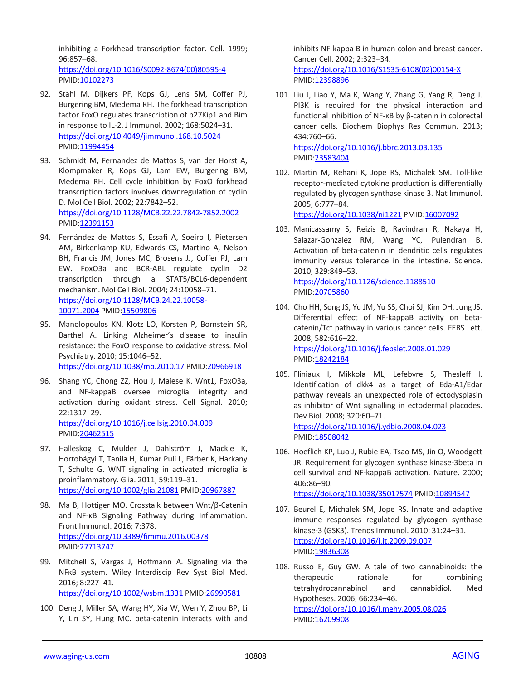inhibiting a Forkhead transcription factor. Cell. 1999; 96:857–68.

[https://doi.org/10.1016/S0092-8674\(00\)80595-4](https://doi.org/10.1016/S0092-8674(00)80595-4) PMID[:10102273](https://pubmed.ncbi.nlm.nih.gov/10102273)

- 92. Stahl M, Dijkers PF, Kops GJ, Lens SM, Coffer PJ, Burgering BM, Medema RH. The forkhead transcription factor FoxO regulates transcription of p27Kip1 and Bim in response to IL-2. J Immunol. 2002; 168:5024–31. <https://doi.org/10.4049/jimmunol.168.10.5024> PMID[:11994454](https://pubmed.ncbi.nlm.nih.gov/11994454)
- 93. Schmidt M, Fernandez de Mattos S, van der Horst A, Klompmaker R, Kops GJ, Lam EW, Burgering BM, Medema RH. Cell cycle inhibition by FoxO forkhead transcription factors involves downregulation of cyclin D. Mol Cell Biol. 2002; 22:7842–52. <https://doi.org/10.1128/MCB.22.22.7842-7852.2002> PMID[:12391153](https://pubmed.ncbi.nlm.nih.gov/12391153)
- 94. Fernández de Mattos S, Essafi A, Soeiro I, Pietersen AM, Birkenkamp KU, Edwards CS, Martino A, Nelson BH, Francis JM, Jones MC, Brosens JJ, Coffer PJ, Lam EW. FoxO3a and BCR-ABL regulate cyclin D2 transcription through a STAT5/BCL6-dependent mechanism. Mol Cell Biol. 2004; 24:10058–71. [https://doi.org/10.1128/MCB.24.22.10058-](https://doi.org/10.1128/MCB.24.22.10058-10071.2004) [10071.2004](https://doi.org/10.1128/MCB.24.22.10058-10071.2004) PMID[:15509806](https://pubmed.ncbi.nlm.nih.gov/15509806)
- 95. Manolopoulos KN, Klotz LO, Korsten P, Bornstein SR, Barthel A. Linking Alzheimer's disease to insulin resistance: the FoxO response to oxidative stress. Mol Psychiatry. 2010; 15:1046–52. <https://doi.org/10.1038/mp.2010.17> PMID[:20966918](https://pubmed.ncbi.nlm.nih.gov/20966918)
- 96. Shang YC, Chong ZZ, Hou J, Maiese K. Wnt1, FoxO3a, and NF-kappaB oversee microglial integrity and activation during oxidant stress. Cell Signal. 2010; 22:1317–29. <https://doi.org/10.1016/j.cellsig.2010.04.009> PMID[:20462515](https://pubmed.ncbi.nlm.nih.gov/20462515)
- 97. Halleskog C, Mulder J, Dahlström J, Mackie K, Hortobágyi T, Tanila H, Kumar Puli L, Färber K, Harkany T, Schulte G. WNT signaling in activated microglia is proinflammatory. Glia. 2011; 59:119–31. <https://doi.org/10.1002/glia.21081> PMI[D:20967887](https://pubmed.ncbi.nlm.nih.gov/20967887)
- 98. Ma B, Hottiger MO. Crosstalk between Wnt/β-Catenin and NF-κB Signaling Pathway during Inflammation. Front Immunol. 2016; 7:378. <https://doi.org/10.3389/fimmu.2016.00378> PMID[:27713747](https://pubmed.ncbi.nlm.nih.gov/27713747)
- 99. Mitchell S, Vargas J, Hoffmann A. Signaling via the NFκB system. Wiley Interdiscip Rev Syst Biol Med. 2016; 8:227–41. <https://doi.org/10.1002/wsbm.1331> PMID[:26990581](https://pubmed.ncbi.nlm.nih.gov/26990581)
- 100. Deng J, Miller SA, Wang HY, Xia W, Wen Y, Zhou BP, Li Y, Lin SY, Hung MC. beta-catenin interacts with and

inhibits NF-kappa B in human colon and breast cancer. Cancer Cell. 2002; 2:323–34. [https://doi.org/10.1016/S1535-6108\(02\)00154-X](https://doi.org/10.1016/S1535-6108(02)00154-X) PMI[D:12398896](https://pubmed.ncbi.nlm.nih.gov/12398896)

- 101. Liu J, Liao Y, Ma K, Wang Y, Zhang G, Yang R, Deng J. PI3K is required for the physical interaction and functional inhibition of NF-κB by β-catenin in colorectal cancer cells. Biochem Biophys Res Commun. 2013; 434:760–66. <https://doi.org/10.1016/j.bbrc.2013.03.135> PMI[D:23583404](https://pubmed.ncbi.nlm.nih.gov/23583404)
- 102. Martin M, Rehani K, Jope RS, Michalek SM. Toll-like receptor-mediated cytokine production is differentially regulated by glycogen synthase kinase 3. Nat Immunol. 2005; 6:777–84.

<https://doi.org/10.1038/ni1221> PMI[D:16007092](https://pubmed.ncbi.nlm.nih.gov/16007092)

103. Manicassamy S, Reizis B, Ravindran R, Nakaya H, Salazar-Gonzalez RM, Wang YC, Pulendran B. Activation of beta-catenin in dendritic cells regulates immunity versus tolerance in the intestine. Science. 2010; 329:849–53. <https://doi.org/10.1126/science.1188510>

PMI[D:20705860](https://pubmed.ncbi.nlm.nih.gov/20705860)

- 104. Cho HH, Song JS, Yu JM, Yu SS, Choi SJ, Kim DH, Jung JS. Differential effect of NF-kappaB activity on betacatenin/Tcf pathway in various cancer cells. FEBS Lett. 2008; 582:616–22. <https://doi.org/10.1016/j.febslet.2008.01.029> PMI[D:18242184](https://pubmed.ncbi.nlm.nih.gov/18242184)
- 105. Fliniaux I, Mikkola ML, Lefebvre S, Thesleff I. Identification of dkk4 as a target of Eda-A1/Edar pathway reveals an unexpected role of ectodysplasin as inhibitor of Wnt signalling in ectodermal placodes. Dev Biol. 2008; 320:60–71. <https://doi.org/10.1016/j.ydbio.2008.04.023> PMI[D:18508042](https://pubmed.ncbi.nlm.nih.gov/18508042)
- 106. Hoeflich KP, Luo J, Rubie EA, Tsao MS, Jin O, Woodgett JR. Requirement for glycogen synthase kinase-3beta in cell survival and NF-kappaB activation. Nature. 2000; 406:86–90. <https://doi.org/10.1038/35017574> PMID[:10894547](https://pubmed.ncbi.nlm.nih.gov/10894547)
- 107. Beurel E, Michalek SM, Jope RS. Innate and adaptive immune responses regulated by glycogen synthase kinase-3 (GSK3). Trends Immunol. 2010; 31:24–31. <https://doi.org/10.1016/j.it.2009.09.007> PMI[D:19836308](https://pubmed.ncbi.nlm.nih.gov/19836308)
- 108. Russo E, Guy GW. A tale of two cannabinoids: the therapeutic rationale for combining tetrahydrocannabinol and cannabidiol. Med Hypotheses. 2006; 66:234–46. <https://doi.org/10.1016/j.mehy.2005.08.026> PMID: 16209908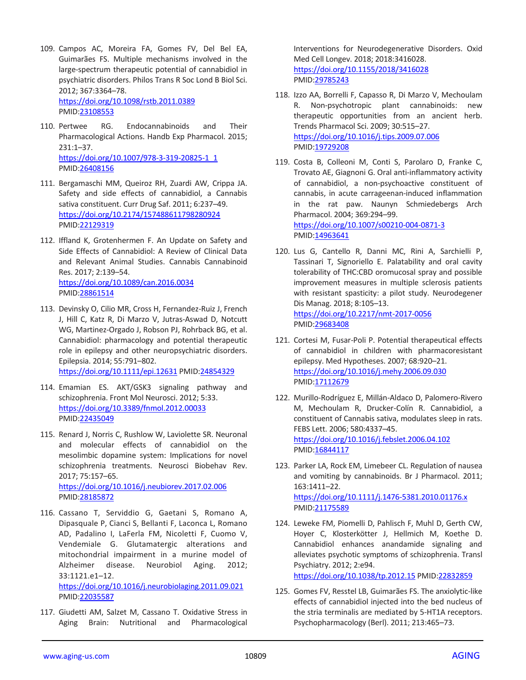- 109. Campos AC, Moreira FA, Gomes FV, Del Bel EA, Guimarães FS. Multiple mechanisms involved in the large-spectrum therapeutic potential of cannabidiol in psychiatric disorders. Philos Trans R Soc Lond B Biol Sci. 2012; 367:3364–78. <https://doi.org/10.1098/rstb.2011.0389> PMID[:23108553](https://pubmed.ncbi.nlm.nih.gov/23108553)
- 110. Pertwee RG. Endocannabinoids and Their Pharmacological Actions. Handb Exp Pharmacol. 2015; 231:1–37. [https://doi.org/10.1007/978-3-319-20825-1\\_1](https://doi.org/10.1007/978-3-319-20825-1_1) PMID[:26408156](https://pubmed.ncbi.nlm.nih.gov/26408156)
- 111. Bergamaschi MM, Queiroz RH, Zuardi AW, Crippa JA. Safety and side effects of cannabidiol, a Cannabis sativa constituent. Curr Drug Saf. 2011; 6:237–49. <https://doi.org/10.2174/157488611798280924> PMID[:22129319](https://pubmed.ncbi.nlm.nih.gov/22129319)
- 112. Iffland K, Grotenhermen F. An Update on Safety and Side Effects of Cannabidiol: A Review of Clinical Data and Relevant Animal Studies. Cannabis Cannabinoid Res. 2017; 2:139–54. <https://doi.org/10.1089/can.2016.0034> PMID[:28861514](https://pubmed.ncbi.nlm.nih.gov/28861514)
- 113. Devinsky O, Cilio MR, Cross H, Fernandez-Ruiz J, French J, Hill C, Katz R, Di Marzo V, Jutras-Aswad D, Notcutt WG, Martinez-Orgado J, Robson PJ, Rohrback BG, et al. Cannabidiol: pharmacology and potential therapeutic role in epilepsy and other neuropsychiatric disorders. Epilepsia. 2014; 55:791–802. <https://doi.org/10.1111/epi.12631> PMID[:24854329](https://pubmed.ncbi.nlm.nih.gov/24854329)
- 114. Emamian ES. AKT/GSK3 signaling pathway and schizophrenia. Front Mol Neurosci. 2012; 5:33. <https://doi.org/10.3389/fnmol.2012.00033> PMID[:22435049](https://pubmed.ncbi.nlm.nih.gov/22435049)
- 115. Renard J, Norris C, Rushlow W, Laviolette SR. Neuronal and molecular effects of cannabidiol on the mesolimbic dopamine system: Implications for novel schizophrenia treatments. Neurosci Biobehav Rev. 2017; 75:157–65. <https://doi.org/10.1016/j.neubiorev.2017.02.006> PMID[:28185872](https://pubmed.ncbi.nlm.nih.gov/28185872)
- 116. Cassano T, Serviddio G, Gaetani S, Romano A, Dipasquale P, Cianci S, Bellanti F, Laconca L, Romano AD, Padalino I, LaFerla FM, Nicoletti F, Cuomo V, Vendemiale G. Glutamatergic alterations and mitochondrial impairment in a murine model of Alzheimer disease. Neurobiol Aging. 2012; 33:1121.e1–12.

<https://doi.org/10.1016/j.neurobiolaging.2011.09.021> PMID[:22035587](https://pubmed.ncbi.nlm.nih.gov/22035587)

117. Giudetti AM, Salzet M, Cassano T. Oxidative Stress in Aging Brain: Nutritional and Pharmacological

Interventions for Neurodegenerative Disorders. Oxid Med Cell Longev. 2018; 2018:3416028. <https://doi.org/10.1155/2018/3416028> PMI[D:29785243](https://pubmed.ncbi.nlm.nih.gov/29785243)

- 118. Izzo AA, Borrelli F, Capasso R, Di Marzo V, Mechoulam R. Non-psychotropic plant cannabinoids: new therapeutic opportunities from an ancient herb. Trends Pharmacol Sci. 2009; 30:515–27. <https://doi.org/10.1016/j.tips.2009.07.006> PMI[D:19729208](https://pubmed.ncbi.nlm.nih.gov/19729208)
- 119. Costa B, Colleoni M, Conti S, Parolaro D, Franke C, Trovato AE, Giagnoni G. Oral anti-inflammatory activity of cannabidiol, a non-psychoactive constituent of cannabis, in acute carrageenan-induced inflammation in the rat paw. Naunyn Schmiedebergs Arch Pharmacol. 2004; 369:294–99. <https://doi.org/10.1007/s00210-004-0871-3> PMI[D:14963641](https://pubmed.ncbi.nlm.nih.gov/14963641)
- 120. Lus G, Cantello R, Danni MC, Rini A, Sarchielli P, Tassinari T, Signoriello E. Palatability and oral cavity tolerability of THC:CBD oromucosal spray and possible improvement measures in multiple sclerosis patients with resistant spasticity: a pilot study. Neurodegener Dis Manag. 2018; 8:105–13. <https://doi.org/10.2217/nmt-2017-0056> PMI[D:29683408](https://pubmed.ncbi.nlm.nih.gov/29683408)
- 121. Cortesi M, Fusar-Poli P. Potential therapeutical effects of cannabidiol in children with pharmacoresistant epilepsy. Med Hypotheses. 2007; 68:920–21. <https://doi.org/10.1016/j.mehy.2006.09.030> PMID: 17112679
- 122. Murillo-Rodríguez E, Millán-Aldaco D, Palomero-Rivero M, Mechoulam R, Drucker-Colín R. Cannabidiol, a constituent of Cannabis sativa, modulates sleep in rats. FEBS Lett. 2006; 580:4337–45. <https://doi.org/10.1016/j.febslet.2006.04.102> PMI[D:16844117](https://pubmed.ncbi.nlm.nih.gov/16844117)
- 123. Parker LA, Rock EM, Limebeer CL. Regulation of nausea and vomiting by cannabinoids. Br J Pharmacol. 2011; 163:1411–22. <https://doi.org/10.1111/j.1476-5381.2010.01176.x> PMI[D:21175589](https://pubmed.ncbi.nlm.nih.gov/21175589)
- 124. Leweke FM, Piomelli D, Pahlisch F, Muhl D, Gerth CW, Hoyer C, Klosterkötter J, Hellmich M, Koethe D. Cannabidiol enhances anandamide signaling and alleviates psychotic symptoms of schizophrenia. Transl Psychiatry. 2012; 2:e94. <https://doi.org/10.1038/tp.2012.15> PMID[:22832859](https://pubmed.ncbi.nlm.nih.gov/22832859)
- 125. Gomes FV, Resstel LB, Guimarães FS. The anxiolytic-like effects of cannabidiol injected into the bed nucleus of the stria terminalis are mediated by 5-HT1A receptors. Psychopharmacology (Berl). 2011; 213:465–73.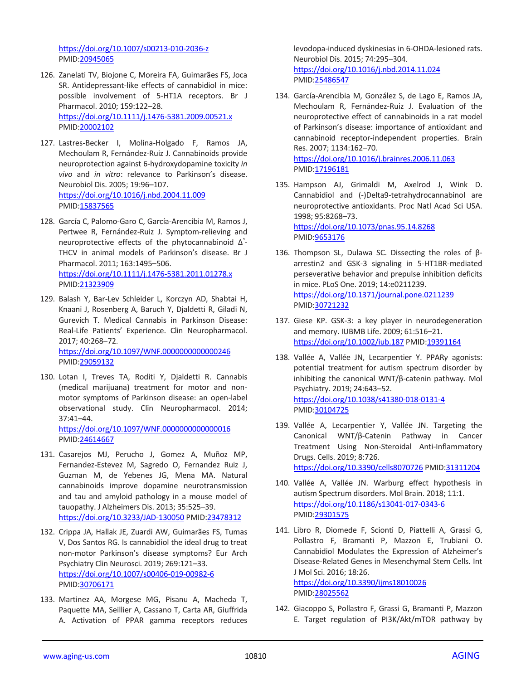<https://doi.org/10.1007/s00213-010-2036-z> PMID[:20945065](https://pubmed.ncbi.nlm.nih.gov/20945065)

- 126. Zanelati TV, Biojone C, Moreira FA, Guimarães FS, Joca SR. Antidepressant-like effects of cannabidiol in mice: possible involvement of 5-HT1A receptors. Br J Pharmacol. 2010; 159:122–28. <https://doi.org/10.1111/j.1476-5381.2009.00521.x> PMID[:20002102](https://pubmed.ncbi.nlm.nih.gov/20002102)
- 127. Lastres-Becker I, Molina-Holgado F, Ramos JA, Mechoulam R, Fernández-Ruiz J. Cannabinoids provide neuroprotection against 6-hydroxydopamine toxicity *in vivo* and *in vitro*: relevance to Parkinson's disease. Neurobiol Dis. 2005; 19:96–107. <https://doi.org/10.1016/j.nbd.2004.11.009> PMID[:15837565](https://pubmed.ncbi.nlm.nih.gov/15837565)
- 128. García C, Palomo-Garo C, García-Arencibia M, Ramos J, Pertwee R, Fernández-Ruiz J. Symptom-relieving and neuroprotective effects of the phytocannabinoid  $\Delta^2$ -THCV in animal models of Parkinson's disease. Br J Pharmacol. 2011; 163:1495–506.

<https://doi.org/10.1111/j.1476-5381.2011.01278.x> PMID[:21323909](https://pubmed.ncbi.nlm.nih.gov/21323909)

- 129. Balash Y, Bar-Lev Schleider L, Korczyn AD, Shabtai H, Knaani J, Rosenberg A, Baruch Y, Djaldetti R, Giladi N, Gurevich T. Medical Cannabis in Parkinson Disease: Real-Life Patients' Experience. Clin Neuropharmacol. 2017; 40:268–72. <https://doi.org/10.1097/WNF.0000000000000246> PMID[:29059132](https://pubmed.ncbi.nlm.nih.gov/29059132)
- 130. Lotan I, Treves TA, Roditi Y, Djaldetti R. Cannabis (medical marijuana) treatment for motor and nonmotor symptoms of Parkinson disease: an open-label observational study. Clin Neuropharmacol. 2014; 37:41–44.

<https://doi.org/10.1097/WNF.0000000000000016> PMID[:24614667](https://pubmed.ncbi.nlm.nih.gov/24614667)

- 131. Casarejos MJ, Perucho J, Gomez A, Muñoz MP, Fernandez-Estevez M, Sagredo O, Fernandez Ruiz J, Guzman M, de Yebenes JG, Mena MA. Natural cannabinoids improve dopamine neurotransmission and tau and amyloid pathology in a mouse model of tauopathy. J Alzheimers Dis. 2013; 35:525–39. <https://doi.org/10.3233/JAD-130050> PMID[:23478312](https://pubmed.ncbi.nlm.nih.gov/23478312)
- 132. Crippa JA, Hallak JE, Zuardi AW, Guimarães FS, Tumas V, Dos Santos RG. Is cannabidiol the ideal drug to treat non-motor Parkinson's disease symptoms? Eur Arch Psychiatry Clin Neurosci. 2019; 269:121–33. <https://doi.org/10.1007/s00406-019-00982-6> PMID[:30706171](https://pubmed.ncbi.nlm.nih.gov/30706171)
- 133. Martinez AA, Morgese MG, Pisanu A, Macheda T, Paquette MA, Seillier A, Cassano T, Carta AR, Giuffrida A. Activation of PPAR gamma receptors reduces

levodopa-induced dyskinesias in 6-OHDA-lesioned rats. Neurobiol Dis. 2015; 74:295–304. <https://doi.org/10.1016/j.nbd.2014.11.024> PMI[D:25486547](https://pubmed.ncbi.nlm.nih.gov/25486547)

- 134. García-Arencibia M, González S, de Lago E, Ramos JA, Mechoulam R, Fernández-Ruiz J. Evaluation of the neuroprotective effect of cannabinoids in a rat model of Parkinson's disease: importance of antioxidant and cannabinoid receptor-independent properties. Brain Res. 2007; 1134:162–70. <https://doi.org/10.1016/j.brainres.2006.11.063> PMI[D:17196181](https://pubmed.ncbi.nlm.nih.gov/17196181)
- 135. Hampson AJ, Grimaldi M, Axelrod J, Wink D. Cannabidiol and (-)Delta9-tetrahydrocannabinol are neuroprotective antioxidants. Proc Natl Acad Sci USA. 1998; 95:8268–73. <https://doi.org/10.1073/pnas.95.14.8268> PMI[D:9653176](https://pubmed.ncbi.nlm.nih.gov/9653176)
- 136. Thompson SL, Dulawa SC. Dissecting the roles of βarrestin2 and GSK-3 signaling in 5-HT1BR-mediated perseverative behavior and prepulse inhibition deficits in mice. PLoS One. 2019; 14:e0211239. <https://doi.org/10.1371/journal.pone.0211239> PMI[D:30721232](https://pubmed.ncbi.nlm.nih.gov/30721232)
- 137. Giese KP. GSK-3: a key player in neurodegeneration and memory. IUBMB Life. 2009; 61:516–21. <https://doi.org/10.1002/iub.187> PMID[:19391164](https://pubmed.ncbi.nlm.nih.gov/19391164)
- 138. Vallée A, Vallée JN, Lecarpentier Y. PPARγ agonists: potential treatment for autism spectrum disorder by inhibiting the canonical WNT/β-catenin pathway. Mol Psychiatry. 2019; 24:643–52. <https://doi.org/10.1038/s41380-018-0131-4> PMI[D:30104725](https://pubmed.ncbi.nlm.nih.gov/30104725)
- 139. Vallée A, Lecarpentier Y, Vallée JN. Targeting the Canonical WNT/β-Catenin Pathway in Cancer Treatment Using Non-Steroidal Anti-Inflammatory Drugs. Cells. 2019; 8:726. <https://doi.org/10.3390/cells8070726> PMID[:31311204](https://pubmed.ncbi.nlm.nih.gov/31311204)
- 140. Vallée A, Vallée JN. Warburg effect hypothesis in autism Spectrum disorders. Mol Brain. 2018; 11:1. <https://doi.org/10.1186/s13041-017-0343-6> PMI[D:29301575](https://pubmed.ncbi.nlm.nih.gov/29301575)
- 141. Libro R, Diomede F, Scionti D, Piattelli A, Grassi G, Pollastro F, Bramanti P, Mazzon E, Trubiani O. Cannabidiol Modulates the Expression of Alzheimer's Disease-Related Genes in Mesenchymal Stem Cells. Int J Mol Sci. 2016; 18:26. <https://doi.org/10.3390/ijms18010026> PMI[D:28025562](https://pubmed.ncbi.nlm.nih.gov/28025562)
- 142. Giacoppo S, Pollastro F, Grassi G, Bramanti P, Mazzon E. Target regulation of PI3K/Akt/mTOR pathway by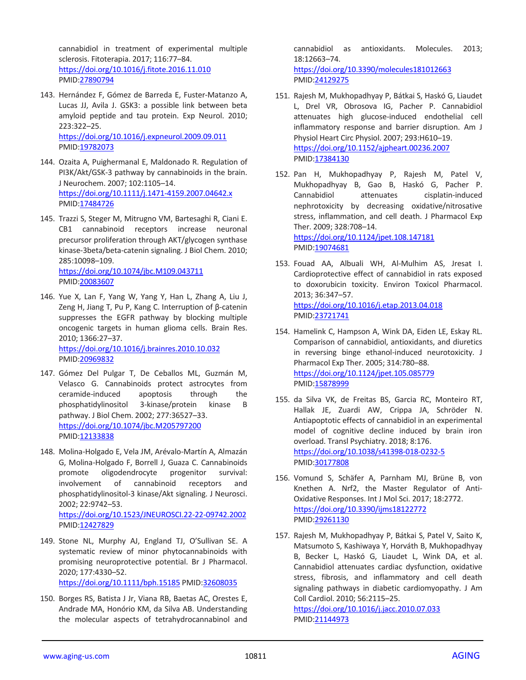cannabidiol in treatment of experimental multiple sclerosis. Fitoterapia. 2017; 116:77–84. <https://doi.org/10.1016/j.fitote.2016.11.010> PMID[:27890794](https://pubmed.ncbi.nlm.nih.gov/27890794)

- 143. Hernández F, Gómez de Barreda E, Fuster-Matanzo A, Lucas JJ, Avila J. GSK3: a possible link between beta amyloid peptide and tau protein. Exp Neurol. 2010; 223:322–25. <https://doi.org/10.1016/j.expneurol.2009.09.011> PMID[:19782073](https://pubmed.ncbi.nlm.nih.gov/19782073)
- 144. Ozaita A, Puighermanal E, Maldonado R. Regulation of PI3K/Akt/GSK-3 pathway by cannabinoids in the brain. J Neurochem. 2007; 102:1105–14. <https://doi.org/10.1111/j.1471-4159.2007.04642.x> PMID[:17484726](https://pubmed.ncbi.nlm.nih.gov/17484726)
- 145. Trazzi S, Steger M, Mitrugno VM, Bartesaghi R, Ciani E. CB1 cannabinoid receptors increase neuronal precursor proliferation through AKT/glycogen synthase kinase-3beta/beta-catenin signaling. J Biol Chem. 2010; 285:10098–109. <https://doi.org/10.1074/jbc.M109.043711> PMID[:20083607](https://pubmed.ncbi.nlm.nih.gov/20083607)
- 146. Yue X, Lan F, Yang W, Yang Y, Han L, Zhang A, Liu J, Zeng H, Jiang T, Pu P, Kang C. Interruption of β-catenin suppresses the EGFR pathway by blocking multiple oncogenic targets in human glioma cells. Brain Res. 2010; 1366:27–37. <https://doi.org/10.1016/j.brainres.2010.10.032> PMID[:20969832](https://pubmed.ncbi.nlm.nih.gov/20969832)
- 147. Gómez Del Pulgar T, De Ceballos ML, Guzmán M, Velasco G. Cannabinoids protect astrocytes from ceramide-induced apoptosis through the phosphatidylinositol 3-kinase/protein kinase B pathway. J Biol Chem. 2002; 277:36527–33. <https://doi.org/10.1074/jbc.M205797200> PMID[:12133838](https://pubmed.ncbi.nlm.nih.gov/12133838)
- 148. Molina-Holgado E, Vela JM, Arévalo-Martín A, Almazán G, Molina-Holgado F, Borrell J, Guaza C. Cannabinoids promote oligodendrocyte progenitor survival: involvement of cannabinoid receptors and phosphatidylinositol-3 kinase/Akt signaling. J Neurosci. 2002; 22:9742–53. <https://doi.org/10.1523/JNEUROSCI.22-22-09742.2002>

PMID[:12427829](https://pubmed.ncbi.nlm.nih.gov/12427829) 149. Stone NL, Murphy AJ, England TJ, O'Sullivan SE. A

- systematic review of minor phytocannabinoids with promising neuroprotective potential. Br J Pharmacol. 2020; 177:4330–52. <https://doi.org/10.1111/bph.15185> PMID[:32608035](https://pubmed.ncbi.nlm.nih.gov/32608035)
- 150. Borges RS, Batista J Jr, Viana RB, Baetas AC, Orestes E, Andrade MA, Honório KM, da Silva AB. Understanding the molecular aspects of tetrahydrocannabinol and

cannabidiol as antioxidants. Molecules. 2013; 18:12663–74. <https://doi.org/10.3390/molecules181012663>

PMI[D:24129275](https://pubmed.ncbi.nlm.nih.gov/24129275)

- 151. Rajesh M, Mukhopadhyay P, Bátkai S, Haskó G, Liaudet L, Drel VR, Obrosova IG, Pacher P. Cannabidiol attenuates high glucose-induced endothelial cell inflammatory response and barrier disruption. Am J Physiol Heart Circ Physiol. 2007; 293:H610–19. <https://doi.org/10.1152/ajpheart.00236.2007> PMI[D:17384130](https://pubmed.ncbi.nlm.nih.gov/17384130)
- 152. Pan H, Mukhopadhyay P, Rajesh M, Patel V, Mukhopadhyay B, Gao B, Haskó G, Pacher P. Cannabidiol attenuates cisplatin-induced nephrotoxicity by decreasing oxidative/nitrosative stress, inflammation, and cell death. J Pharmacol Exp Ther. 2009; 328:708–14. <https://doi.org/10.1124/jpet.108.147181>

PMI[D:19074681](https://pubmed.ncbi.nlm.nih.gov/19074681)

- 153. Fouad AA, Albuali WH, Al-Mulhim AS, Jresat I. Cardioprotective effect of cannabidiol in rats exposed to doxorubicin toxicity. Environ Toxicol Pharmacol. 2013; 36:347–57. <https://doi.org/10.1016/j.etap.2013.04.018> PMI[D:23721741](https://pubmed.ncbi.nlm.nih.gov/23721741)
- 154. Hamelink C, Hampson A, Wink DA, Eiden LE, Eskay RL. Comparison of cannabidiol, antioxidants, and diuretics in reversing binge ethanol-induced neurotoxicity. J Pharmacol Exp Ther. 2005; 314:780–88. <https://doi.org/10.1124/jpet.105.085779> PMI[D:15878999](https://pubmed.ncbi.nlm.nih.gov/15878999)
- 155. da Silva VK, de Freitas BS, Garcia RC, Monteiro RT, Hallak JE, Zuardi AW, Crippa JA, Schröder N. Antiapoptotic effects of cannabidiol in an experimental model of cognitive decline induced by brain iron overload. Transl Psychiatry. 2018; 8:176. <https://doi.org/10.1038/s41398-018-0232-5> PMI[D:30177808](https://pubmed.ncbi.nlm.nih.gov/30177808)
- 156. Vomund S, Schäfer A, Parnham MJ, Brüne B, von Knethen A. Nrf2, the Master Regulator of Anti-Oxidative Responses. Int J Mol Sci. 2017; 18:2772. <https://doi.org/10.3390/ijms18122772> PMI[D:29261130](https://pubmed.ncbi.nlm.nih.gov/29261130)
- 157. Rajesh M, Mukhopadhyay P, Bátkai S, Patel V, Saito K, Matsumoto S, Kashiwaya Y, Horváth B, Mukhopadhyay B, Becker L, Haskó G, Liaudet L, Wink DA, et al. Cannabidiol attenuates cardiac dysfunction, oxidative stress, fibrosis, and inflammatory and cell death signaling pathways in diabetic cardiomyopathy. J Am Coll Cardiol. 2010; 56:2115–25.

<https://doi.org/10.1016/j.jacc.2010.07.033> PMI[D:21144973](https://pubmed.ncbi.nlm.nih.gov/21144973)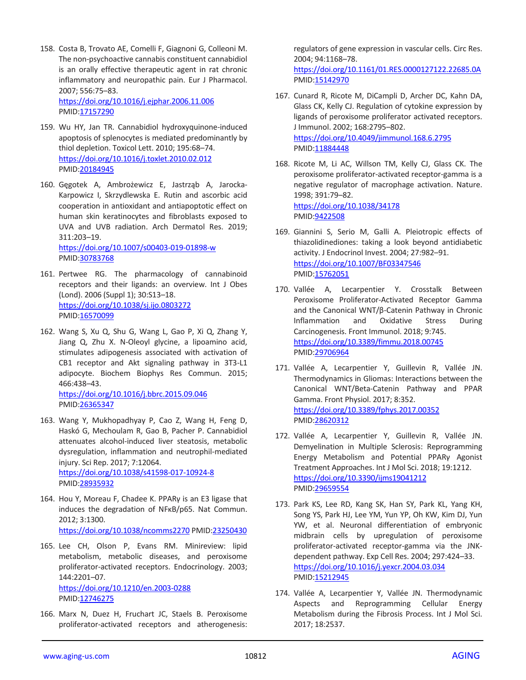- 158. Costa B, Trovato AE, Comelli F, Giagnoni G, Colleoni M. The non-psychoactive cannabis constituent cannabidiol is an orally effective therapeutic agent in rat chronic inflammatory and neuropathic pain. Eur J Pharmacol. 2007; 556:75–83. <https://doi.org/10.1016/j.ejphar.2006.11.006> PMID[:17157290](https://pubmed.ncbi.nlm.nih.gov/17157290)
- 159. Wu HY, Jan TR. Cannabidiol hydroxyquinone-induced apoptosis of splenocytes is mediated predominantly by thiol depletion. Toxicol Lett. 2010; 195:68–74. <https://doi.org/10.1016/j.toxlet.2010.02.012> PMID[:20184945](https://pubmed.ncbi.nlm.nih.gov/20184945)
- 160. Gęgotek A, Ambrożewicz E, Jastrząb A, Jarocka-Karpowicz I, Skrzydlewska E. Rutin and ascorbic acid cooperation in antioxidant and antiapoptotic effect on human skin keratinocytes and fibroblasts exposed to UVA and UVB radiation. Arch Dermatol Res. 2019; 311:203–19.

<https://doi.org/10.1007/s00403-019-01898-w> PMID[:30783768](https://pubmed.ncbi.nlm.nih.gov/30783768)

- 161. Pertwee RG. The pharmacology of cannabinoid receptors and their ligands: an overview. Int J Obes (Lond). 2006 (Suppl 1); 30:S13–18. <https://doi.org/10.1038/sj.ijo.0803272> PMID[:16570099](https://pubmed.ncbi.nlm.nih.gov/16570099)
- 162. Wang S, Xu Q, Shu G, Wang L, Gao P, Xi Q, Zhang Y, Jiang Q, Zhu X. N-Oleoyl glycine, a lipoamino acid, stimulates adipogenesis associated with activation of CB1 receptor and Akt signaling pathway in 3T3-L1 adipocyte. Biochem Biophys Res Commun. 2015; 466:438–43.

<https://doi.org/10.1016/j.bbrc.2015.09.046> PMID[:26365347](https://pubmed.ncbi.nlm.nih.gov/26365347)

- 163. Wang Y, Mukhopadhyay P, Cao Z, Wang H, Feng D, Haskó G, Mechoulam R, Gao B, Pacher P. Cannabidiol attenuates alcohol-induced liver steatosis, metabolic dysregulation, inflammation and neutrophil-mediated injury. Sci Rep. 2017; 7:12064. <https://doi.org/10.1038/s41598-017-10924-8> PMID[:28935932](https://pubmed.ncbi.nlm.nih.gov/28935932)
- 164. Hou Y, Moreau F, Chadee K. PPARγ is an E3 ligase that induces the degradation of NFκB/p65. Nat Commun. 2012; 3:1300. <https://doi.org/10.1038/ncomms2270> PMI[D:23250430](https://pubmed.ncbi.nlm.nih.gov/23250430)
- 165. Lee CH, Olson P, Evans RM. Minireview: lipid metabolism, metabolic diseases, and peroxisome proliferator-activated receptors. Endocrinology. 2003; 144:2201–07. <https://doi.org/10.1210/en.2003-0288>

PMID[:12746275](https://pubmed.ncbi.nlm.nih.gov/12746275)

166. Marx N, Duez H, Fruchart JC, Staels B. Peroxisome proliferator-activated receptors and atherogenesis: regulators of gene expression in vascular cells. Circ Res. 2004; 94:1168–78.

<https://doi.org/10.1161/01.RES.0000127122.22685.0A> PMI[D:15142970](https://pubmed.ncbi.nlm.nih.gov/15142970)

- 167. Cunard R, Ricote M, DiCampli D, Archer DC, Kahn DA, Glass CK, Kelly CJ. Regulation of cytokine expression by ligands of peroxisome proliferator activated receptors. J Immunol. 2002; 168:2795–802. <https://doi.org/10.4049/jimmunol.168.6.2795> PMI[D:11884448](https://pubmed.ncbi.nlm.nih.gov/11884448)
- 168. Ricote M, Li AC, Willson TM, Kelly CJ, Glass CK. The peroxisome proliferator-activated receptor-gamma is a negative regulator of macrophage activation. Nature. 1998; 391:79–82. <https://doi.org/10.1038/34178> PMI[D:9422508](https://pubmed.ncbi.nlm.nih.gov/9422508)
- 169. Giannini S, Serio M, Galli A. Pleiotropic effects of thiazolidinediones: taking a look beyond antidiabetic activity. J Endocrinol Invest. 2004; 27:982–91. <https://doi.org/10.1007/BF03347546> PMI[D:15762051](https://pubmed.ncbi.nlm.nih.gov/15762051)
- 170. Vallée A, Lecarpentier Y. Crosstalk Between Peroxisome Proliferator-Activated Receptor Gamma and the Canonical WNT/β-Catenin Pathway in Chronic Inflammation and Oxidative Stress During Carcinogenesis. Front Immunol. 2018; 9:745. <https://doi.org/10.3389/fimmu.2018.00745> PMI[D:29706964](https://pubmed.ncbi.nlm.nih.gov/29706964)
- 171. Vallée A, Lecarpentier Y, Guillevin R, Vallée JN. Thermodynamics in Gliomas: Interactions between the Canonical WNT/Beta-Catenin Pathway and PPAR Gamma. Front Physiol. 2017; 8:352. <https://doi.org/10.3389/fphys.2017.00352> PMI[D:28620312](https://pubmed.ncbi.nlm.nih.gov/28620312)
- 172. Vallée A, Lecarpentier Y, Guillevin R, Vallée JN. Demyelination in Multiple Sclerosis: Reprogramming Energy Metabolism and Potential PPARγ Agonist Treatment Approaches. Int J Mol Sci. 2018; 19:1212. <https://doi.org/10.3390/ijms19041212> PMI[D:29659554](https://pubmed.ncbi.nlm.nih.gov/29659554)
- 173. Park KS, Lee RD, Kang SK, Han SY, Park KL, Yang KH, Song YS, Park HJ, Lee YM, Yun YP, Oh KW, Kim DJ, Yun YW, et al. Neuronal differentiation of embryonic midbrain cells by upregulation of peroxisome proliferator-activated receptor-gamma via the JNKdependent pathway. Exp Cell Res. 2004; 297:424–33. <https://doi.org/10.1016/j.yexcr.2004.03.034> PMI[D:15212945](https://pubmed.ncbi.nlm.nih.gov/15212945)
- 174. Vallée A, Lecarpentier Y, Vallée JN. Thermodynamic Aspects and Reprogramming Cellular Energy Metabolism during the Fibrosis Process. Int J Mol Sci. 2017; 18:2537.